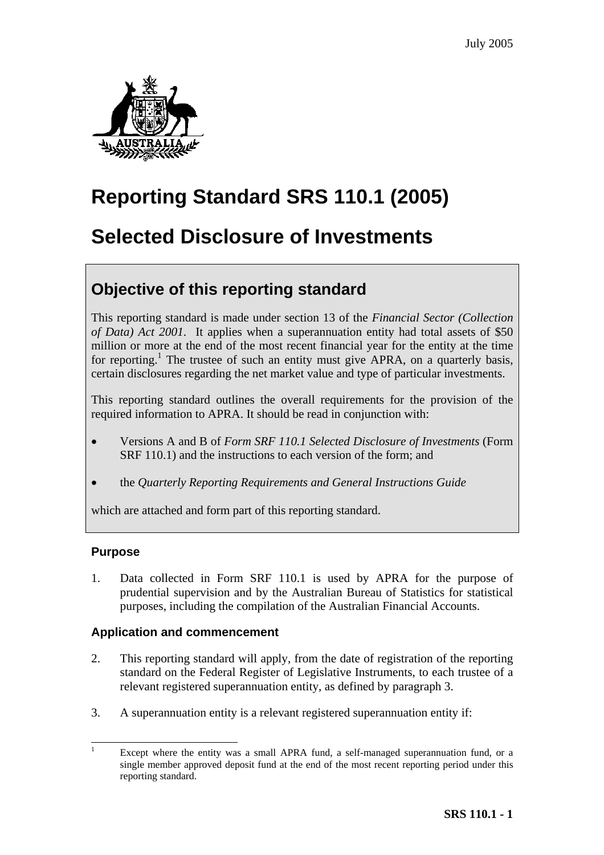

# **Reporting Standard SRS 110.1 (2005)**

# **Selected Disclosure of Investments**

## **Objective of this reporting standard**

This reporting standard is made under section 13 of the *Financial Sector (Collection of Data) Act 2001*. It applies when a superannuation entity had total assets of \$50 million or more at the end of the most recent financial year for the entity at the time for reporting.<sup>1</sup> The trustee of such an entity must give APRA, on a quarterly basis, certain disclosures regarding the net market value and type of particular investments.

This reporting standard outlines the overall requirements for the provision of the required information to APRA. It should be read in conjunction with:

- Versions A and B of *Form SRF 110.1 Selected Disclosure of Investments* (Form SRF 110.1) and the instructions to each version of the form; and
- the *Quarterly Reporting Requirements and General Instructions Guide*

which are attached and form part of this reporting standard.

## **Purpose**

1. Data collected in Form SRF 110.1 is used by APRA for the purpose of prudential supervision and by the Australian Bureau of Statistics for statistical purposes, including the compilation of the Australian Financial Accounts.

## **Application and commencement**

- 2. This reporting standard will apply, from the date of registration of the reporting standard on the Federal Register of Legislative Instruments, to each trustee of a relevant registered superannuation entity, as defined by paragraph 3.
- 3. A superannuation entity is a relevant registered superannuation entity if:

<span id="page-0-0"></span><sup>&</sup>lt;sup>1</sup> Except where the entity was a small APRA fund, a self-managed superannuation fund, or a single member approved deposit fund at the end of the most recent reporting period under this reporting standard.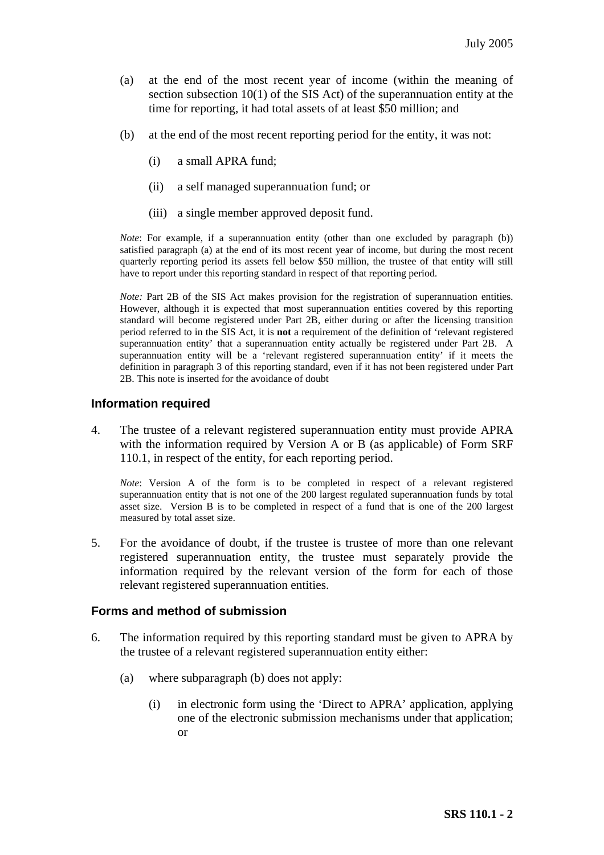- (a) at the end of the most recent year of income (within the meaning of section subsection 10(1) of the SIS Act) of the superannuation entity at the time for reporting, it had total assets of at least \$50 million; and
- (b) at the end of the most recent reporting period for the entity, it was not:
	- (i) a small APRA fund;
	- (ii) a self managed superannuation fund; or
	- (iii) a single member approved deposit fund.

*Note*: For example, if a superannuation entity (other than one excluded by paragraph (b)) satisfied paragraph (a) at the end of its most recent year of income, but during the most recent quarterly reporting period its assets fell below \$50 million, the trustee of that entity will still have to report under this reporting standard in respect of that reporting period.

*Note:* Part 2B of the SIS Act makes provision for the registration of superannuation entities. However, although it is expected that most superannuation entities covered by this reporting standard will become registered under Part 2B, either during or after the licensing transition period referred to in the SIS Act, it is **not** a requirement of the definition of 'relevant registered superannuation entity' that a superannuation entity actually be registered under Part 2B. A superannuation entity will be a 'relevant registered superannuation entity' if it meets the definition in paragraph 3 of this reporting standard, even if it has not been registered under Part 2B. This note is inserted for the avoidance of doubt

#### **Information required**

4. The trustee of a relevant registered superannuation entity must provide APRA with the information required by Version A or B (as applicable) of Form SRF 110.1, in respect of the entity, for each reporting period.

*Note*: Version A of the form is to be completed in respect of a relevant registered superannuation entity that is not one of the 200 largest regulated superannuation funds by total asset size. Version B is to be completed in respect of a fund that is one of the 200 largest measured by total asset size.

5. For the avoidance of doubt, if the trustee is trustee of more than one relevant registered superannuation entity, the trustee must separately provide the information required by the relevant version of the form for each of those relevant registered superannuation entities.

#### **Forms and method of submission**

- 6. The information required by this reporting standard must be given to APRA by the trustee of a relevant registered superannuation entity either:
	- (a) where subparagraph (b) does not apply:
		- (i) in electronic form using the 'Direct to APRA' application, applying one of the electronic submission mechanisms under that application; or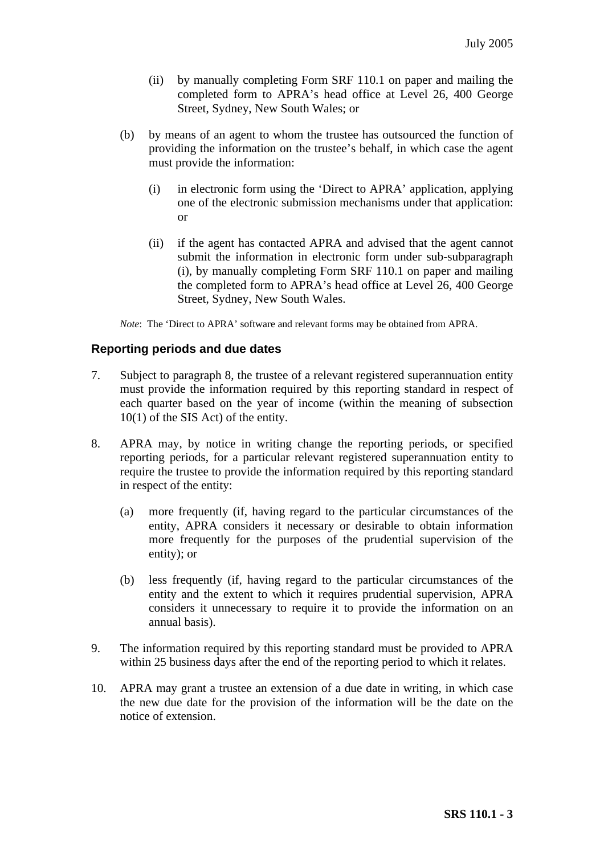- (ii) by manually completing Form SRF 110.1 on paper and mailing the completed form to APRA's head office at Level 26, 400 George Street, Sydney, New South Wales; or
- (b) by means of an agent to whom the trustee has outsourced the function of providing the information on the trustee's behalf, in which case the agent must provide the information:
	- (i) in electronic form using the 'Direct to APRA' application, applying one of the electronic submission mechanisms under that application: or
	- (ii) if the agent has contacted APRA and advised that the agent cannot submit the information in electronic form under sub-subparagraph (i), by manually completing Form SRF 110.1 on paper and mailing the completed form to APRA's head office at Level 26, 400 George Street, Sydney, New South Wales.

*Note*: The 'Direct to APRA' software and relevant forms may be obtained from APRA.

## **Reporting periods and due dates**

- 7. Subject to paragraph 8, the trustee of a relevant registered superannuation entity must provide the information required by this reporting standard in respect of each quarter based on the year of income (within the meaning of subsection 10(1) of the SIS Act) of the entity.
- 8. APRA may, by notice in writing change the reporting periods, or specified reporting periods, for a particular relevant registered superannuation entity to require the trustee to provide the information required by this reporting standard in respect of the entity:
	- (a) more frequently (if, having regard to the particular circumstances of the entity, APRA considers it necessary or desirable to obtain information more frequently for the purposes of the prudential supervision of the entity); or
	- (b) less frequently (if, having regard to the particular circumstances of the entity and the extent to which it requires prudential supervision, APRA considers it unnecessary to require it to provide the information on an annual basis).
- 9. The information required by this reporting standard must be provided to APRA within 25 business days after the end of the reporting period to which it relates.
- 10. APRA may grant a trustee an extension of a due date in writing, in which case the new due date for the provision of the information will be the date on the notice of extension.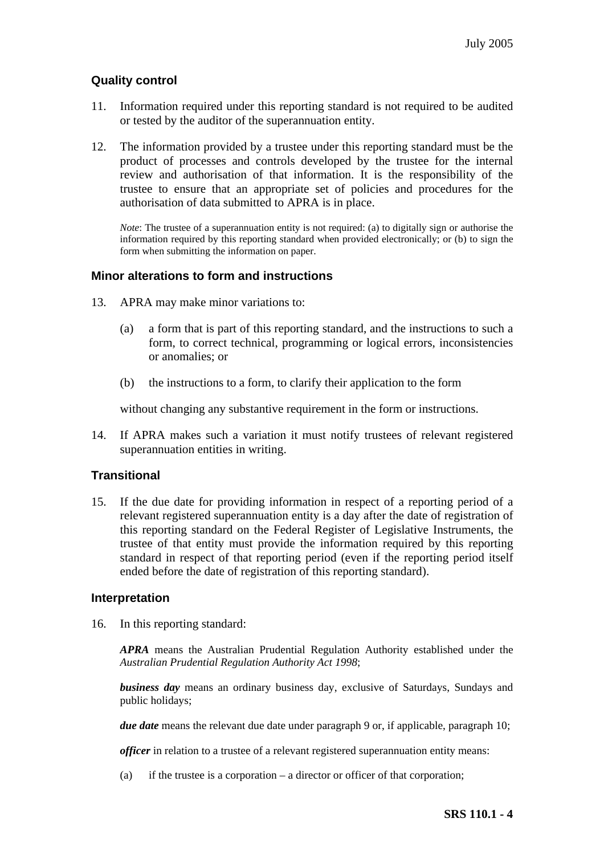## **Quality control**

- 11. Information required under this reporting standard is not required to be audited or tested by the auditor of the superannuation entity.
- 12. The information provided by a trustee under this reporting standard must be the product of processes and controls developed by the trustee for the internal review and authorisation of that information. It is the responsibility of the trustee to ensure that an appropriate set of policies and procedures for the authorisation of data submitted to APRA is in place.

*Note*: The trustee of a superannuation entity is not required: (a) to digitally sign or authorise the information required by this reporting standard when provided electronically; or (b) to sign the form when submitting the information on paper.

## **Minor alterations to form and instructions**

- 13. APRA may make minor variations to:
	- (a) a form that is part of this reporting standard, and the instructions to such a form, to correct technical, programming or logical errors, inconsistencies or anomalies; or
	- (b) the instructions to a form, to clarify their application to the form

without changing any substantive requirement in the form or instructions.

14. If APRA makes such a variation it must notify trustees of relevant registered superannuation entities in writing.

## **Transitional**

15. If the due date for providing information in respect of a reporting period of a relevant registered superannuation entity is a day after the date of registration of this reporting standard on the Federal Register of Legislative Instruments, the trustee of that entity must provide the information required by this reporting standard in respect of that reporting period (even if the reporting period itself ended before the date of registration of this reporting standard).

#### **Interpretation**

16. In this reporting standard:

*APRA* means the Australian Prudential Regulation Authority established under the *Australian Prudential Regulation Authority Act 1998*;

*business day* means an ordinary business day, exclusive of Saturdays, Sundays and public holidays;

*due date* means the relevant due date under paragraph 9 or, if applicable, paragraph 10;

*officer* in relation to a trustee of a relevant registered superannuation entity means:

(a) if the trustee is a corporation – a director or officer of that corporation;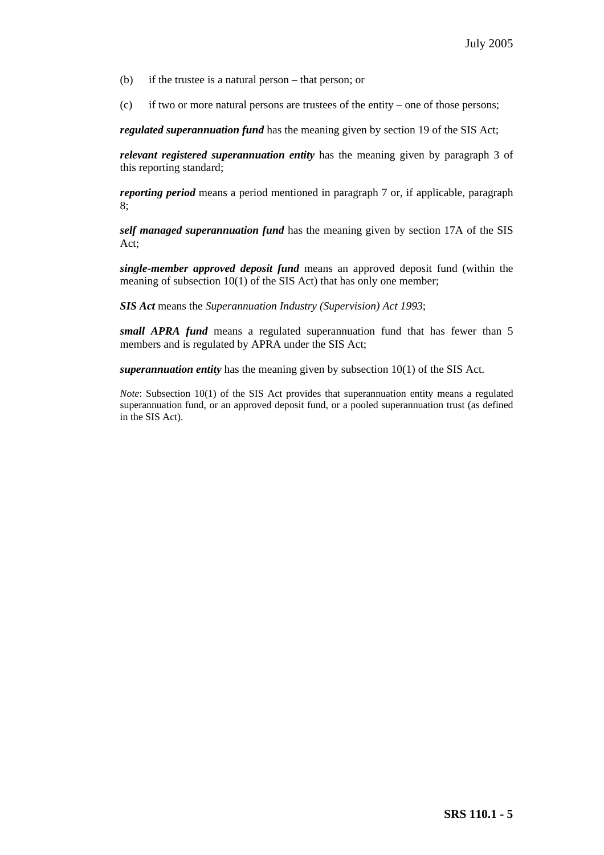- (b) if the trustee is a natural person that person; or
- (c) if two or more natural persons are trustees of the entity one of those persons;

*regulated superannuation fund* has the meaning given by section 19 of the SIS Act;

*relevant registered superannuation entity* has the meaning given by paragraph 3 of this reporting standard;

*reporting period* means a period mentioned in paragraph 7 or, if applicable, paragraph 8;

*self managed superannuation fund* has the meaning given by section 17A of the SIS Act;

*single-member approved deposit fund* means an approved deposit fund (within the meaning of subsection 10(1) of the SIS Act) that has only one member;

*SIS Act* means the *Superannuation Industry (Supervision) Act 1993*;

*small APRA fund* means a regulated superannuation fund that has fewer than 5 members and is regulated by APRA under the SIS Act;

*superannuation entity* has the meaning given by subsection 10(1) of the SIS Act.

*Note*: Subsection 10(1) of the SIS Act provides that superannuation entity means a regulated superannuation fund, or an approved deposit fund, or a pooled superannuation trust (as defined in the SIS Act).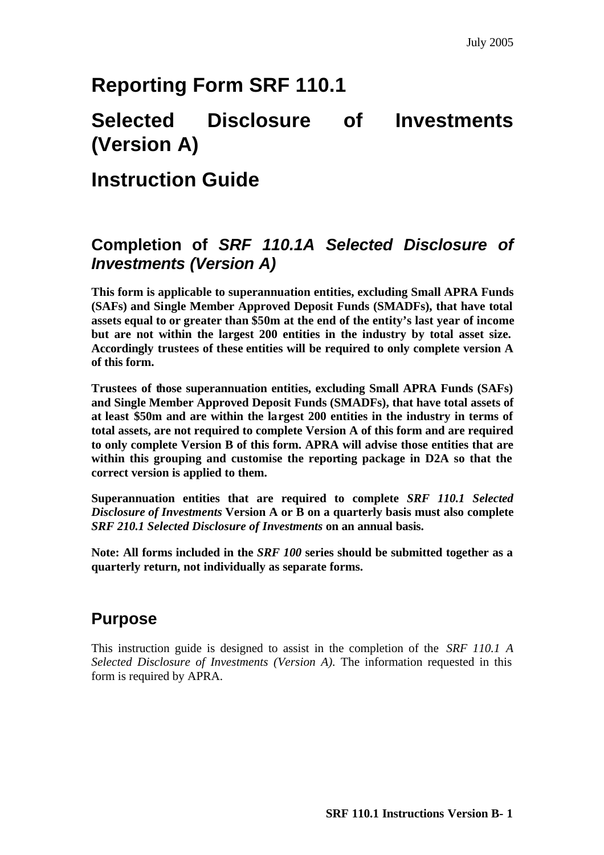# **Reporting Form SRF 110.1**

# **Selected Disclosure of Investments (Version A)**

## **Instruction Guide**

## **Completion of** *SRF 110.1A Selected Disclosure of Investments (Version A)*

**This form is applicable to superannuation entities, excluding Small APRA Funds (SAFs) and Single Member Approved Deposit Funds (SMADFs), that have total assets equal to or greater than \$50m at the end of the entity's last year of income but are not within the largest 200 entities in the industry by total asset size. Accordingly trustees of these entities will be required to only complete version A of this form.**

**Trustees of those superannuation entities, excluding Small APRA Funds (SAFs) and Single Member Approved Deposit Funds (SMADFs), that have total assets of at least \$50m and are within the largest 200 entities in the industry in terms of total assets, are not required to complete Version A of this form and are required to only complete Version B of this form. APRA will advise those entities that are within this grouping and customise the reporting package in D2A so that the correct version is applied to them.** 

**Superannuation entities that are required to complete** *SRF 110.1 Selected Disclosure of Investments* **Version A or B on a quarterly basis must also complete**  *SRF 210.1 Selected Disclosure of Investments* **on an annual basis.** 

**Note: All forms included in the** *SRF 100* **series should be submitted together as a quarterly return, not individually as separate forms.**

## **Purpose**

This instruction guide is designed to assist in the completion of the *SRF 110.1 A Selected Disclosure of Investments (Version A).* The information requested in this form is required by APRA.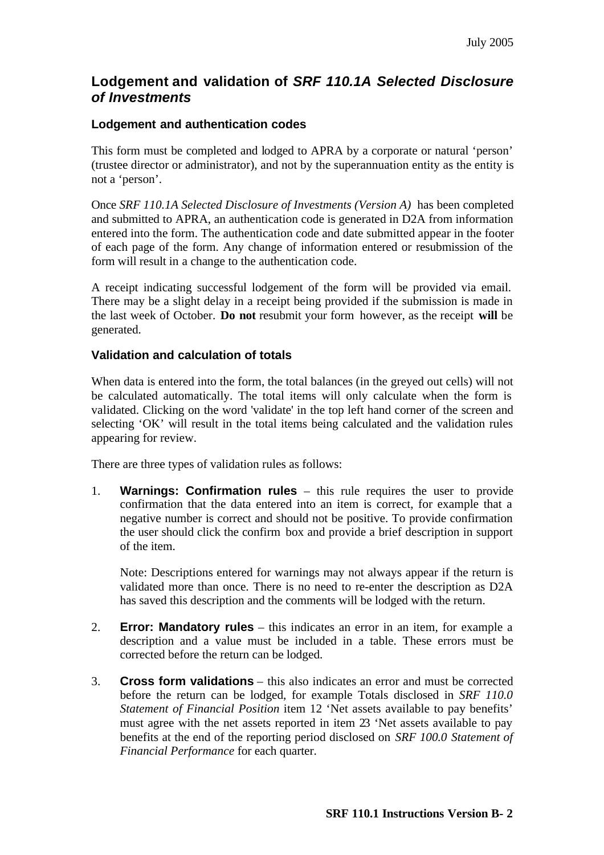## **Lodgement and validation of** *SRF 110.1A Selected Disclosure of Investments*

## **Lodgement and authentication codes**

This form must be completed and lodged to APRA by a corporate or natural 'person' (trustee director or administrator), and not by the superannuation entity as the entity is not a 'person'.

Once *SRF 110.1A Selected Disclosure of Investments (Version A)* has been completed and submitted to APRA, an authentication code is generated in D2A from information entered into the form. The authentication code and date submitted appear in the footer of each page of the form. Any change of information entered or resubmission of the form will result in a change to the authentication code.

A receipt indicating successful lodgement of the form will be provided via email. There may be a slight delay in a receipt being provided if the submission is made in the last week of October. **Do not** resubmit your form however, as the receipt **will** be generated.

#### **Validation and calculation of totals**

When data is entered into the form, the total balances (in the greyed out cells) will not be calculated automatically. The total items will only calculate when the form is validated. Clicking on the word 'validate' in the top left hand corner of the screen and selecting 'OK' will result in the total items being calculated and the validation rules appearing for review.

There are three types of validation rules as follows:

1. **Warnings: Confirmation rules** – this rule requires the user to provide confirmation that the data entered into an item is correct, for example that a negative number is correct and should not be positive. To provide confirmation the user should click the confirm box and provide a brief description in support of the item.

Note: Descriptions entered for warnings may not always appear if the return is validated more than once. There is no need to re-enter the description as D2A has saved this description and the comments will be lodged with the return.

- 2. **Error: Mandatory rules** this indicates an error in an item, for example a description and a value must be included in a table. These errors must be corrected before the return can be lodged.
- 3. **Cross form validations** this also indicates an error and must be corrected before the return can be lodged, for example Totals disclosed in *SRF 110.0 Statement of Financial Position* item 12 'Net assets available to pay benefits' must agree with the net assets reported in item 23 'Net assets available to pay benefits at the end of the reporting period disclosed on *SRF 100.0 Statement of Financial Performance* for each quarter.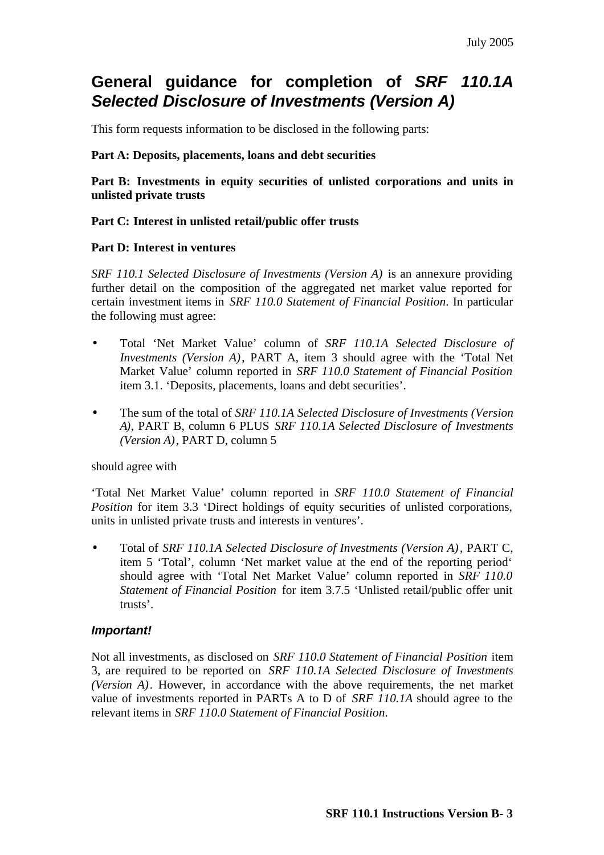## **General guidance for completion of** *SRF 110.1A Selected Disclosure of Investments (Version A)*

This form requests information to be disclosed in the following parts:

#### **Part A: Deposits, placements, loans and debt securities**

**Part B: Investments in equity securities of unlisted corporations and units in unlisted private trusts** 

#### **Part C: Interest in unlisted retail/public offer trusts**

#### **Part D: Interest in ventures**

*SRF 110.1 Selected Disclosure of Investments (Version A)* is an annexure providing further detail on the composition of the aggregated net market value reported for certain investment items in *SRF 110.0 Statement of Financial Position*. In particular the following must agree:

- Total 'Net Market Value' column of *SRF 110.1A Selected Disclosure of Investments (Version A)*, PART A, item 3 should agree with the 'Total Net Market Value' column reported in *SRF 110.0 Statement of Financial Position*  item 3.1. 'Deposits, placements, loans and debt securities'.
- The sum of the total of *SRF 110.1A Selected Disclosure of Investments (Version A)*, PART B, column 6 PLUS *SRF 110.1A Selected Disclosure of Investments (Version A)*, PART D, column 5

#### should agree with

'Total Net Market Value' column reported in *SRF 110.0 Statement of Financial Position* for item 3.3 'Direct holdings of equity securities of unlisted corporations, units in unlisted private trusts and interests in ventures'.

• Total of *SRF 110.1A Selected Disclosure of Investments (Version A)*, PART C, item 5 'Total', column 'Net market value at the end of the reporting period' should agree with 'Total Net Market Value' column reported in *SRF 110.0 Statement of Financial Position* for item 3.7.5 'Unlisted retail/public offer unit trusts'.

## *Important!*

Not all investments, as disclosed on *SRF 110.0 Statement of Financial Position* item 3, are required to be reported on *SRF 110.1A Selected Disclosure of Investments (Version A)*. However, in accordance with the above requirements, the net market value of investments reported in PARTs A to D of *SRF 110.1A* should agree to the relevant items in *SRF 110.0 Statement of Financial Position*.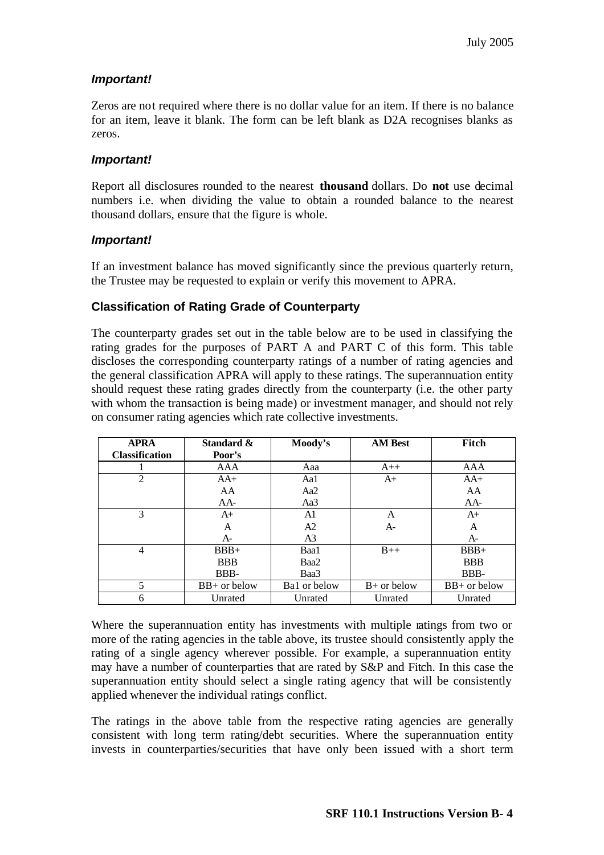## *Important!*

Zeros are not required where there is no dollar value for an item. If there is no balance for an item, leave it blank. The form can be left blank as D2A recognises blanks as zeros.

## *Important!*

Report all disclosures rounded to the nearest **thousand** dollars. Do **not** use decimal numbers i.e. when dividing the value to obtain a rounded balance to the nearest thousand dollars, ensure that the figure is whole.

## *Important!*

If an investment balance has moved significantly since the previous quarterly return, the Trustee may be requested to explain or verify this movement to APRA.

## **Classification of Rating Grade of Counterparty**

The counterparty grades set out in the table below are to be used in classifying the rating grades for the purposes of PART A and PART C of this form. This table discloses the corresponding counterparty ratings of a number of rating agencies and the general classification APRA will apply to these ratings. The superannuation entity should request these rating grades directly from the counterparty (i.e. the other party with whom the transaction is being made) or investment manager, and should not rely on consumer rating agencies which rate collective investments.

| <b>APRA</b><br><b>Classification</b> | Standard &<br>Poor's | Moody's        | <b>AM Best</b> | Fitch          |
|--------------------------------------|----------------------|----------------|----------------|----------------|
|                                      | AAA                  | Aaa            | $A++$          | AAA            |
| $\overline{2}$                       | $AA+$                | Aal            | $A+$           | $AA+$          |
|                                      | AA                   | Aa2            |                | AA             |
|                                      | AA-                  | Aa3            |                | $AA-$          |
| 3                                    | $A+$                 | A1             | A              | $A+$           |
|                                      | A                    | A2             | $A-$           | A              |
|                                      | $A-$                 | A <sup>3</sup> |                | $A-$           |
| 4                                    | $BBB+$               | Baa1           | $B++$          | $BBB+$         |
|                                      | <b>BBB</b>           | Baa2           |                | <b>BBB</b>     |
|                                      | BBB-                 | Baa3           |                | BBB-           |
| 5                                    | $BB+$ or below       | Bal or below   | $B+$ or below  | $BB+$ or below |
| 6                                    | Unrated              | Unrated        | Unrated        | Unrated        |

Where the superannuation entity has investments with multiple ratings from two or more of the rating agencies in the table above, its trustee should consistently apply the rating of a single agency wherever possible. For example, a superannuation entity may have a number of counterparties that are rated by S&P and Fitch. In this case the superannuation entity should select a single rating agency that will be consistently applied whenever the individual ratings conflict.

The ratings in the above table from the respective rating agencies are generally consistent with long term rating/debt securities. Where the superannuation entity invests in counterparties/securities that have only been issued with a short term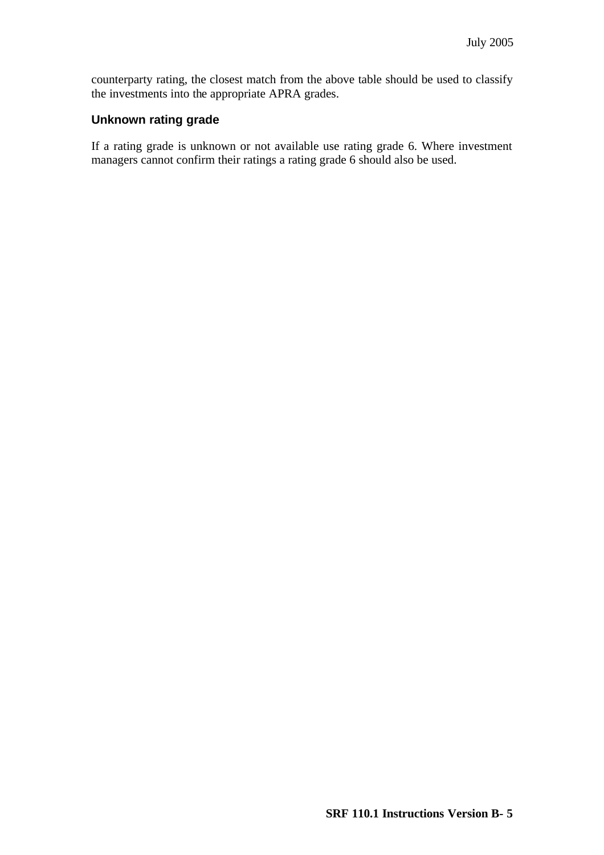counterparty rating, the closest match from the above table should be used to classify the investments into the appropriate APRA grades.

#### **Unknown rating grade**

If a rating grade is unknown or not available use rating grade 6. Where investment managers cannot confirm their ratings a rating grade 6 should also be used.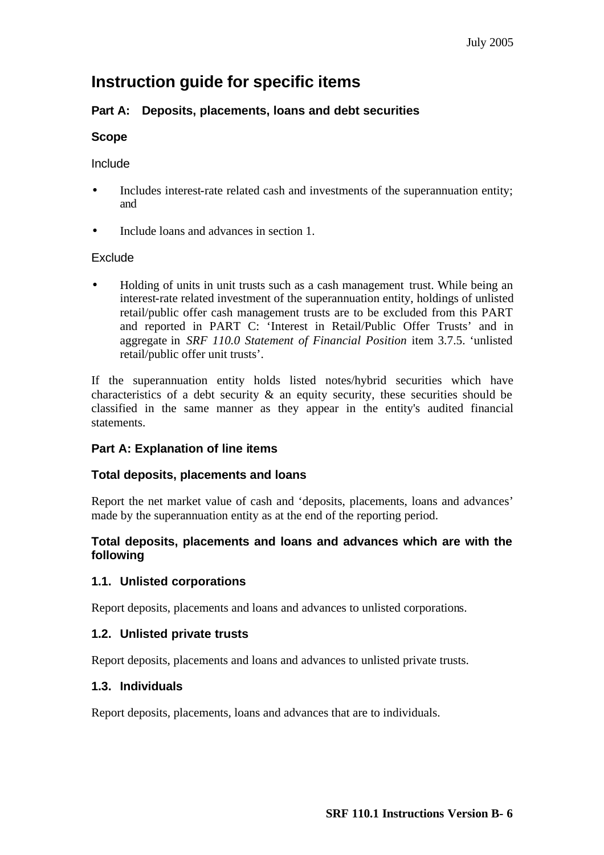## **Instruction guide for specific items**

## **Part A: Deposits, placements, loans and debt securities**

## **Scope**

## Include

- Includes interest-rate related cash and investments of the superannuation entity; and
- Include loans and advances in section 1.

## Exclude

• Holding of units in unit trusts such as a cash management trust. While being an interest-rate related investment of the superannuation entity, holdings of unlisted retail/public offer cash management trusts are to be excluded from this PART and reported in PART C: 'Interest in Retail/Public Offer Trusts' and in aggregate in *SRF 110.0 Statement of Financial Position* item 3.7.5. 'unlisted retail/public offer unit trusts'.

If the superannuation entity holds listed notes/hybrid securities which have characteristics of a debt security  $\&$  an equity security, these securities should be classified in the same manner as they appear in the entity's audited financial statements.

## **Part A: Explanation of line items**

## **Total deposits, placements and loans**

Report the net market value of cash and 'deposits, placements, loans and advances' made by the superannuation entity as at the end of the reporting period.

## **Total deposits, placements and loans and advances which are with the following**

## **1.1. Unlisted corporations**

Report deposits, placements and loans and advances to unlisted corporations.

## **1.2. Unlisted private trusts**

Report deposits, placements and loans and advances to unlisted private trusts.

## **1.3. Individuals**

Report deposits, placements, loans and advances that are to individuals.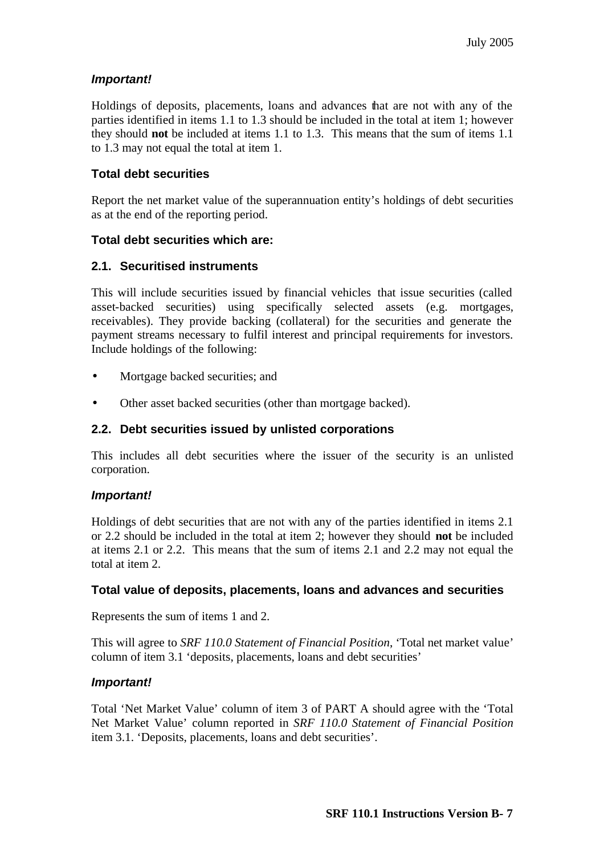## *Important!*

Holdings of deposits, placements, loans and advances that are not with any of the parties identified in items 1.1 to 1.3 should be included in the total at item 1; however they should **not** be included at items 1.1 to 1.3. This means that the sum of items 1.1 to 1.3 may not equal the total at item 1.

## **Total debt securities**

Report the net market value of the superannuation entity's holdings of debt securities as at the end of the reporting period.

## **Total debt securities which are:**

## **2.1. Securitised instruments**

This will include securities issued by financial vehicles that issue securities (called asset-backed securities) using specifically selected assets (e.g. mortgages, receivables). They provide backing (collateral) for the securities and generate the payment streams necessary to fulfil interest and principal requirements for investors. Include holdings of the following:

- Mortgage backed securities; and
- Other asset backed securities (other than mortgage backed).

## **2.2. Debt securities issued by unlisted corporations**

This includes all debt securities where the issuer of the security is an unlisted corporation.

## *Important!*

Holdings of debt securities that are not with any of the parties identified in items 2.1 or 2.2 should be included in the total at item 2; however they should **not** be included at items 2.1 or 2.2. This means that the sum of items 2.1 and 2.2 may not equal the total at item 2.

## **Total value of deposits, placements, loans and advances and securities**

Represents the sum of items 1 and 2.

This will agree to *SRF 110.0 Statement of Financial Position*, 'Total net market value' column of item 3.1 'deposits, placements, loans and debt securities'

## *Important!*

Total 'Net Market Value' column of item 3 of PART A should agree with the 'Total Net Market Value' column reported in *SRF 110.0 Statement of Financial Position* item 3.1. 'Deposits, placements, loans and debt securities'.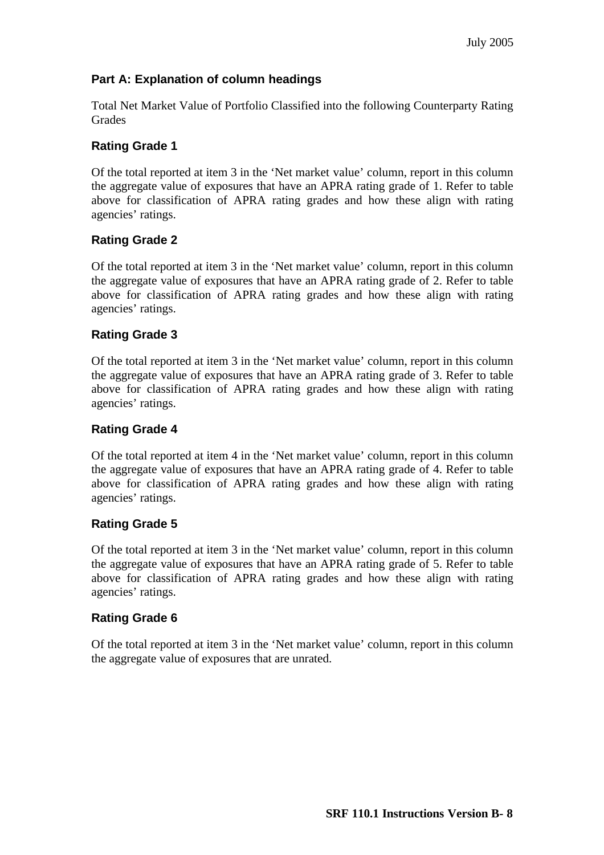## **Part A: Explanation of column headings**

Total Net Market Value of Portfolio Classified into the following Counterparty Rating Grades

## **Rating Grade 1**

Of the total reported at item 3 in the 'Net market value' column, report in this column the aggregate value of exposures that have an APRA rating grade of 1. Refer to table above for classification of APRA rating grades and how these align with rating agencies' ratings.

## **Rating Grade 2**

Of the total reported at item 3 in the 'Net market value' column, report in this column the aggregate value of exposures that have an APRA rating grade of 2. Refer to table above for classification of APRA rating grades and how these align with rating agencies' ratings.

## **Rating Grade 3**

Of the total reported at item 3 in the 'Net market value' column, report in this column the aggregate value of exposures that have an APRA rating grade of 3. Refer to table above for classification of APRA rating grades and how these align with rating agencies' ratings.

## **Rating Grade 4**

Of the total reported at item 4 in the 'Net market value' column, report in this column the aggregate value of exposures that have an APRA rating grade of 4. Refer to table above for classification of APRA rating grades and how these align with rating agencies' ratings.

## **Rating Grade 5**

Of the total reported at item 3 in the 'Net market value' column, report in this column the aggregate value of exposures that have an APRA rating grade of 5. Refer to table above for classification of APRA rating grades and how these align with rating agencies' ratings.

## **Rating Grade 6**

Of the total reported at item 3 in the 'Net market value' column, report in this column the aggregate value of exposures that are unrated.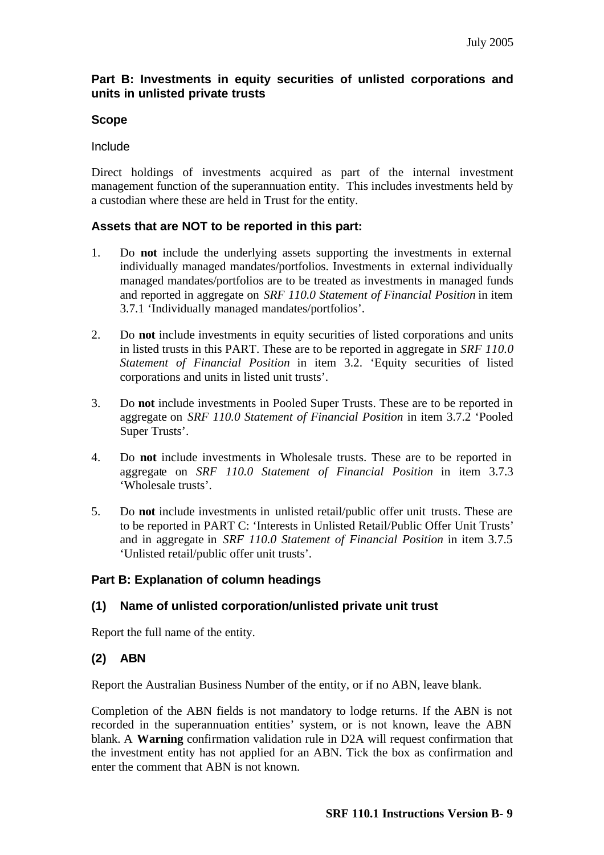## **Part B: Investments in equity securities of unlisted corporations and units in unlisted private trusts**

## **Scope**

#### Include

Direct holdings of investments acquired as part of the internal investment management function of the superannuation entity. This includes investments held by a custodian where these are held in Trust for the entity.

## **Assets that are NOT to be reported in this part:**

- 1. Do **not** include the underlying assets supporting the investments in external individually managed mandates/portfolios. Investments in external individually managed mandates/portfolios are to be treated as investments in managed funds and reported in aggregate on *SRF 110.0 Statement of Financial Position* in item 3.7.1 'Individually managed mandates/portfolios'.
- 2. Do **not** include investments in equity securities of listed corporations and units in listed trusts in this PART. These are to be reported in aggregate in *SRF 110.0 Statement of Financial Position* in item 3.2. 'Equity securities of listed corporations and units in listed unit trusts'.
- 3. Do **not** include investments in Pooled Super Trusts. These are to be reported in aggregate on *SRF 110.0 Statement of Financial Position* in item 3.7.2 'Pooled Super Trusts'.
- 4. Do **not** include investments in Wholesale trusts. These are to be reported in aggregate on *SRF 110.0 Statement of Financial Position* in item 3.7.3 'Wholesale trusts'.
- 5. Do **not** include investments in unlisted retail/public offer unit trusts. These are to be reported in PART C: 'Interests in Unlisted Retail/Public Offer Unit Trusts' and in aggregate in *SRF 110.0 Statement of Financial Position* in item 3.7.5 'Unlisted retail/public offer unit trusts'.

## **Part B: Explanation of column headings**

## **(1) Name of unlisted corporation/unlisted private unit trust**

Report the full name of the entity.

## **(2) ABN**

Report the Australian Business Number of the entity, or if no ABN, leave blank.

Completion of the ABN fields is not mandatory to lodge returns. If the ABN is not recorded in the superannuation entities' system, or is not known, leave the ABN blank. A **Warning** confirmation validation rule in D2A will request confirmation that the investment entity has not applied for an ABN. Tick the box as confirmation and enter the comment that ABN is not known.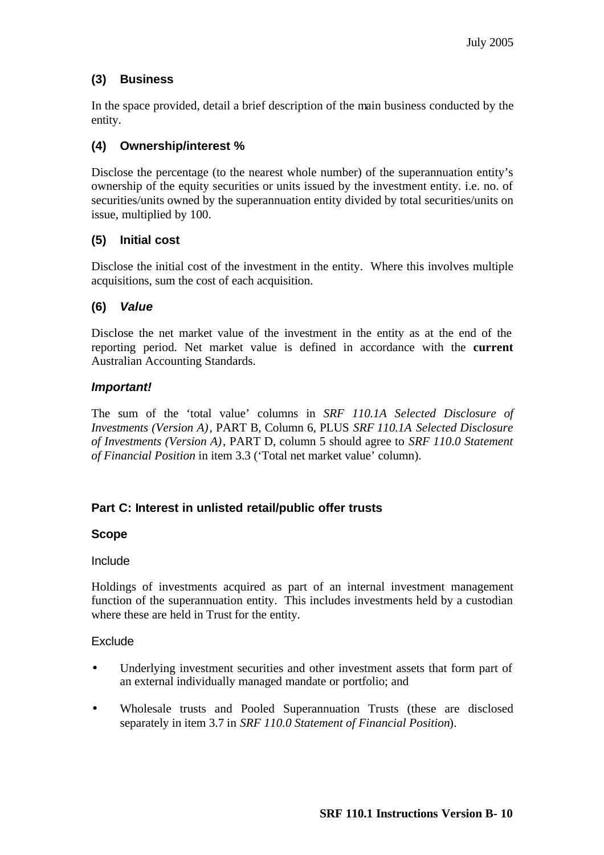## **(3) Business**

In the space provided, detail a brief description of the main business conducted by the entity.

## **(4) Ownership/interest %**

Disclose the percentage (to the nearest whole number) of the superannuation entity's ownership of the equity securities or units issued by the investment entity. i.e. no. of securities/units owned by the superannuation entity divided by total securities/units on issue, multiplied by 100.

## **(5) Initial cost**

Disclose the initial cost of the investment in the entity. Where this involves multiple acquisitions, sum the cost of each acquisition.

## **(6)** *Value*

Disclose the net market value of the investment in the entity as at the end of the reporting period. Net market value is defined in accordance with the **current**  Australian Accounting Standards.

## *Important!*

The sum of the 'total value' columns in *SRF 110.1A Selected Disclosure of Investments (Version A)*, PART B, Column 6, PLUS *SRF 110.1A Selected Disclosure of Investments (Version A)*, PART D, column 5 should agree to *SRF 110.0 Statement of Financial Position* in item 3.3 ('Total net market value' column).

## **Part C: Interest in unlisted retail/public offer trusts**

## **Scope**

## Include

Holdings of investments acquired as part of an internal investment management function of the superannuation entity. This includes investments held by a custodian where these are held in Trust for the entity.

## Exclude

- Underlying investment securities and other investment assets that form part of an external individually managed mandate or portfolio; and
- Wholesale trusts and Pooled Superannuation Trusts (these are disclosed separately in item 3.7 in *SRF 110.0 Statement of Financial Position*).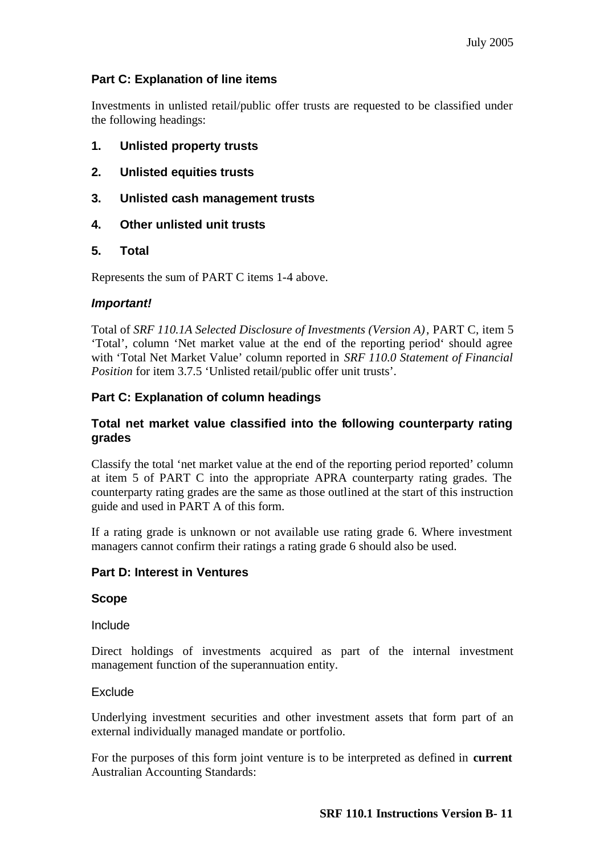## **Part C: Explanation of line items**

Investments in unlisted retail/public offer trusts are requested to be classified under the following headings:

- **1. Unlisted property trusts**
- **2. Unlisted equities trusts**
- **3. Unlisted cash management trusts**
- **4. Other unlisted unit trusts**

## **5. Total**

Represents the sum of PART C items 1-4 above.

## *Important!*

Total of *SRF 110.1A Selected Disclosure of Investments (Version A)*, PART C, item 5 'Total', column 'Net market value at the end of the reporting period' should agree with 'Total Net Market Value' column reported in *SRF 110.0 Statement of Financial Position* for item 3.7.5 'Unlisted retail/public offer unit trusts'.

## **Part C: Explanation of column headings**

## **Total net market value classified into the following counterparty rating grades**

Classify the total 'net market value at the end of the reporting period reported' column at item 5 of PART C into the appropriate APRA counterparty rating grades. The counterparty rating grades are the same as those outlined at the start of this instruction guide and used in PART A of this form.

If a rating grade is unknown or not available use rating grade 6. Where investment managers cannot confirm their ratings a rating grade 6 should also be used.

## **Part D: Interest in Ventures**

## **Scope**

Include

Direct holdings of investments acquired as part of the internal investment management function of the superannuation entity.

## **Exclude**

Underlying investment securities and other investment assets that form part of an external individually managed mandate or portfolio.

For the purposes of this form joint venture is to be interpreted as defined in **current** Australian Accounting Standards: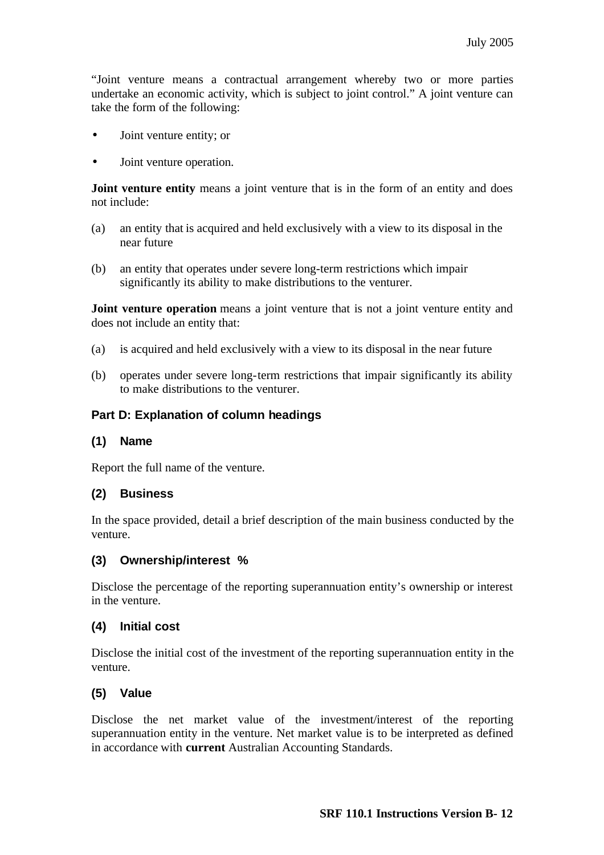"Joint venture means a contractual arrangement whereby two or more parties undertake an economic activity, which is subject to joint control." A joint venture can take the form of the following:

- Joint venture entity; or
- Joint venture operation.

**Joint venture entity** means a joint venture that is in the form of an entity and does not include:

- (a) an entity that is acquired and held exclusively with a view to its disposal in the near future
- (b) an entity that operates under severe long-term restrictions which impair significantly its ability to make distributions to the venturer.

**Joint venture operation** means a joint venture that is not a joint venture entity and does not include an entity that:

- (a) is acquired and held exclusively with a view to its disposal in the near future
- (b) operates under severe long-term restrictions that impair significantly its ability to make distributions to the venturer.

#### **Part D: Explanation of column headings**

#### **(1) Name**

Report the full name of the venture.

#### **(2) Business**

In the space provided, detail a brief description of the main business conducted by the venture.

#### **(3) Ownership/interest %**

Disclose the percentage of the reporting superannuation entity's ownership or interest in the venture.

#### **(4) Initial cost**

Disclose the initial cost of the investment of the reporting superannuation entity in the venture.

#### **(5) Value**

Disclose the net market value of the investment/interest of the reporting superannuation entity in the venture. Net market value is to be interpreted as defined in accordance with **current** Australian Accounting Standards.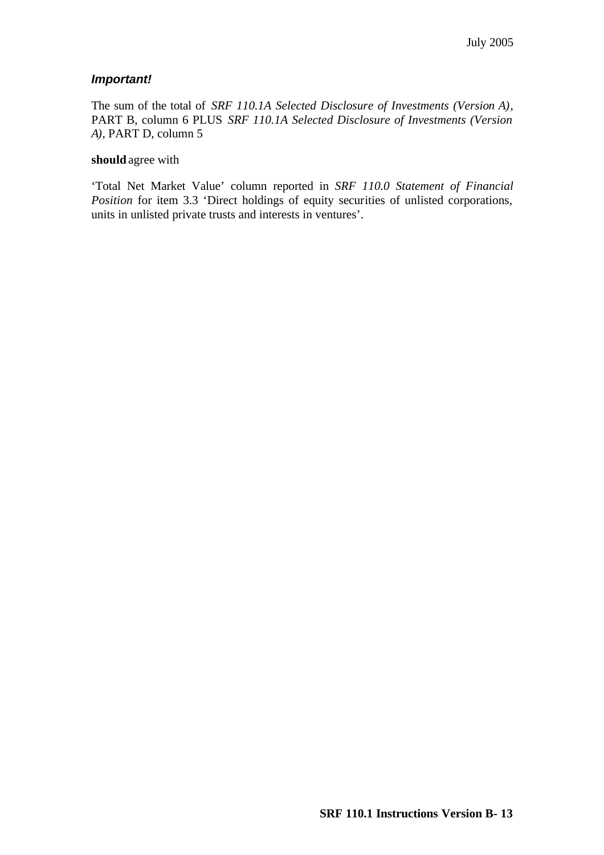## *Important!*

The sum of the total of *SRF 110.1A Selected Disclosure of Investments (Version A)*, PART B, column 6 PLUS *SRF 110.1A Selected Disclosure of Investments (Version A)*, PART D, column 5

#### **should** agree with

'Total Net Market Value' column reported in *SRF 110.0 Statement of Financial Position* for item 3.3 'Direct holdings of equity securities of unlisted corporations, units in unlisted private trusts and interests in ventures'.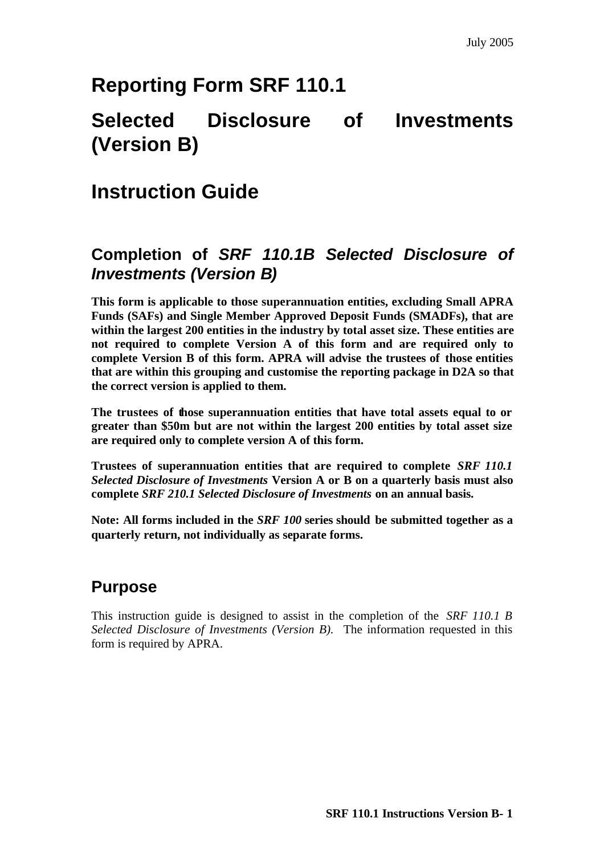# **Reporting Form SRF 110.1**

# **Selected Disclosure of Investments (Version B)**

# **Instruction Guide**

## **Completion of** *SRF 110.1B Selected Disclosure of Investments (Version B)*

**This form is applicable to those superannuation entities, excluding Small APRA Funds (SAFs) and Single Member Approved Deposit Funds (SMADFs), that are within the largest 200 entities in the industry by total asset size. These entities are not required to complete Version A of this form and are required only to complete Version B of this form. APRA will advise the trustees of those entities that are within this grouping and customise the reporting package in D2A so that the correct version is applied to them.** 

**The trustees of those superannuation entities that have total assets equal to or greater than \$50m but are not within the largest 200 entities by total asset size are required only to complete version A of this form.**

**Trustees of superannuation entities that are required to complete** *SRF 110.1 Selected Disclosure of Investments* **Version A or B on a quarterly basis must also complete** *SRF 210.1 Selected Disclosure of Investments* **on an annual basis.** 

**Note: All forms included in the** *SRF 100* **series should be submitted together as a quarterly return, not individually as separate forms.**

## **Purpose**

This instruction guide is designed to assist in the completion of the *SRF 110.1 B Selected Disclosure of Investments (Version B).* The information requested in this form is required by APRA.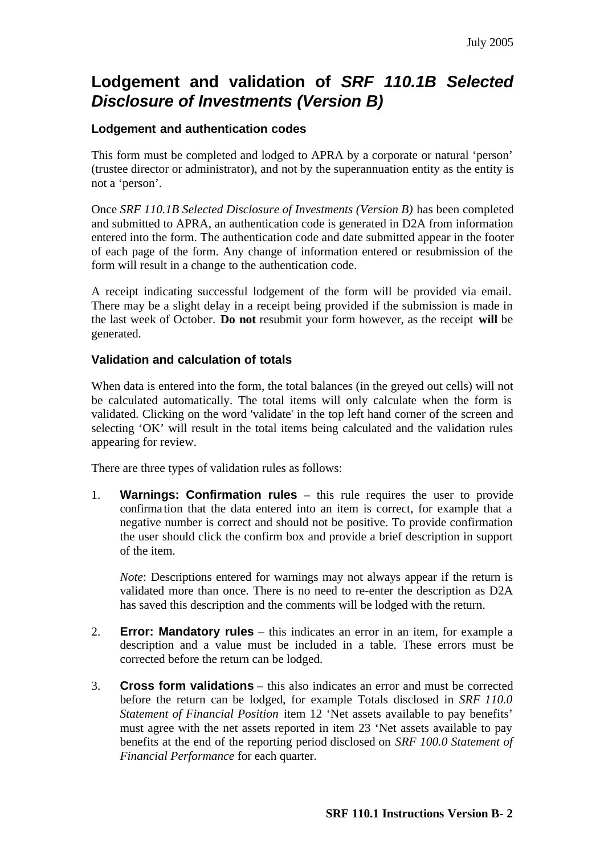## **Lodgement and validation of** *SRF 110.1B Selected Disclosure of Investments (Version B)*

## **Lodgement and authentication codes**

This form must be completed and lodged to APRA by a corporate or natural 'person' (trustee director or administrator), and not by the superannuation entity as the entity is not a 'person'.

Once *SRF 110.1B Selected Disclosure of Investments (Version B)* has been completed and submitted to APRA, an authentication code is generated in D2A from information entered into the form. The authentication code and date submitted appear in the footer of each page of the form. Any change of information entered or resubmission of the form will result in a change to the authentication code.

A receipt indicating successful lodgement of the form will be provided via email. There may be a slight delay in a receipt being provided if the submission is made in the last week of October. **Do not** resubmit your form however, as the receipt **will** be generated.

#### **Validation and calculation of totals**

When data is entered into the form, the total balances (in the greyed out cells) will not be calculated automatically. The total items will only calculate when the form is validated. Clicking on the word 'validate' in the top left hand corner of the screen and selecting 'OK' will result in the total items being calculated and the validation rules appearing for review.

There are three types of validation rules as follows:

1. **Warnings: Confirmation rules** – this rule requires the user to provide confirma tion that the data entered into an item is correct, for example that a negative number is correct and should not be positive. To provide confirmation the user should click the confirm box and provide a brief description in support of the item.

*Note*: Descriptions entered for warnings may not always appear if the return is validated more than once. There is no need to re-enter the description as D2A has saved this description and the comments will be lodged with the return.

- 2. **Error: Mandatory rules** this indicates an error in an item, for example a description and a value must be included in a table. These errors must be corrected before the return can be lodged.
- 3. **Cross form validations** this also indicates an error and must be corrected before the return can be lodged, for example Totals disclosed in *SRF 110.0 Statement of Financial Position* item 12 'Net assets available to pay benefits' must agree with the net assets reported in item 23 'Net assets available to pay benefits at the end of the reporting period disclosed on *SRF 100.0 Statement of Financial Performance* for each quarter.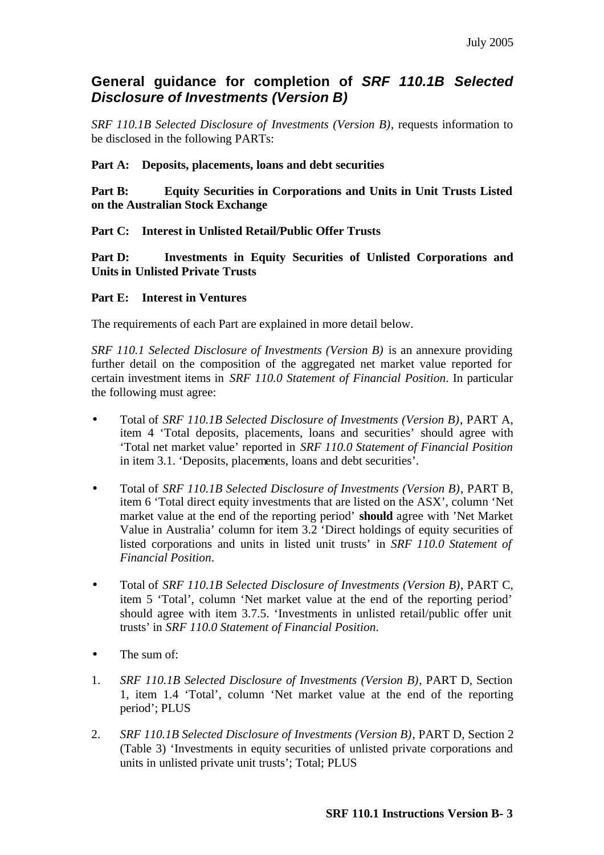## **General guidance for completion of** *SRF 110.1B Selected Disclosure of Investments (Version B)*

*SRF 110.1B Selected Disclosure of Investments (Version B)*, requests information to be disclosed in the following PARTs:

## **Part A: Deposits, placements, loans and debt securities**

**Part B: Equity Securities in Corporations and Units in Unit Trusts Listed on the Australian Stock Exchange**

**Part C: Interest in Unlisted Retail/Public Offer Trusts**

**Part D: Investments in Equity Securities of Unlisted Corporations and Units in Unlisted Private Trusts**

## **Part E: Interest in Ventures**

The requirements of each Part are explained in more detail below.

*SRF 110.1 Selected Disclosure of Investments (Version B)* is an annexure providing further detail on the composition of the aggregated net market value reported for certain investment items in *SRF 110.0 Statement of Financial Position*. In particular the following must agree:

- Total of *SRF 110.1B Selected Disclosure of Investments (Version B)*, PART A, item 4 'Total deposits, placements, loans and securities' should agree with 'Total net market value' reported in *SRF 110.0 Statement of Financial Position*  in item 3.1. 'Deposits, placements, loans and debt securities'.
- Total of *SRF 110.1B Selected Disclosure of Investments (Version B)*, PART B, item 6 'Total direct equity investments that are listed on the ASX', column 'Net market value at the end of the reporting period' **should** agree with 'Net Market Value in Australia' column for item 3.2 'Direct holdings of equity securities of listed corporations and units in listed unit trusts' in *SRF 110.0 Statement of Financial Position*.
- Total of *SRF 110.1B Selected Disclosure of Investments (Version B)*, PART C, item 5 'Total', column 'Net market value at the end of the reporting period' should agree with item 3.7.5. 'Investments in unlisted retail/public offer unit trusts' in *SRF 110.0 Statement of Financial Position*.
- The sum of:
- 1. *SRF 110.1B Selected Disclosure of Investments (Version B)*, PART D, Section 1, item 1.4 'Total', column 'Net market value at the end of the reporting period'; PLUS
- 2. *SRF 110.1B Selected Disclosure of Investments (Version B)*, PART D, Section 2 (Table 3) 'Investments in equity securities of unlisted private corporations and units in unlisted private unit trusts'; Total; PLUS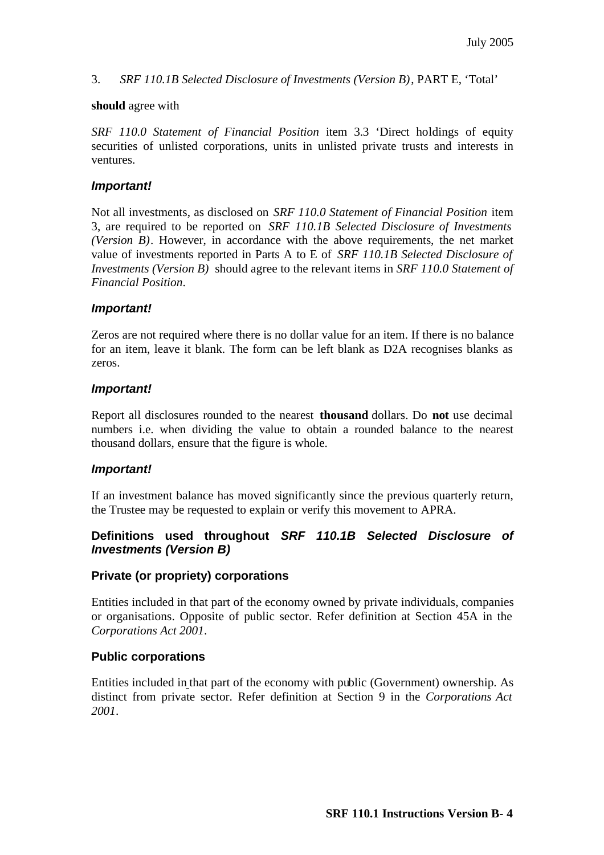#### 3. *SRF 110.1B Selected Disclosure of Investments (Version B)*, PART E, 'Total'

#### **should** agree with

*SRF 110.0 Statement of Financial Position* item 3.3 'Direct holdings of equity securities of unlisted corporations, units in unlisted private trusts and interests in ventures.

#### *Important!*

Not all investments, as disclosed on *SRF 110.0 Statement of Financial Position* item 3, are required to be reported on *SRF 110.1B Selected Disclosure of Investments (Version B)*. However, in accordance with the above requirements, the net market value of investments reported in Parts A to E of *SRF 110.1B Selected Disclosure of Investments (Version B)* should agree to the relevant items in *SRF 110.0 Statement of Financial Position*.

#### *Important!*

Zeros are not required where there is no dollar value for an item. If there is no balance for an item, leave it blank. The form can be left blank as D2A recognises blanks as zeros.

#### *Important!*

Report all disclosures rounded to the nearest **thousand** dollars. Do **not** use decimal numbers i.e. when dividing the value to obtain a rounded balance to the nearest thousand dollars, ensure that the figure is whole.

#### *Important!*

If an investment balance has moved significantly since the previous quarterly return, the Trustee may be requested to explain or verify this movement to APRA.

## **Definitions used throughout** *SRF 110.1B Selected Disclosure of Investments (Version B)*

## **Private (or propriety) corporations**

Entities included in that part of the economy owned by private individuals, companies or organisations. Opposite of public sector. Refer definition at Section 45A in the *Corporations Act 2001*.

## **Public corporations**

Entities included in that part of the economy with public (Government) ownership. As distinct from private sector. Refer definition at Section 9 in the *Corporations Act 2001*.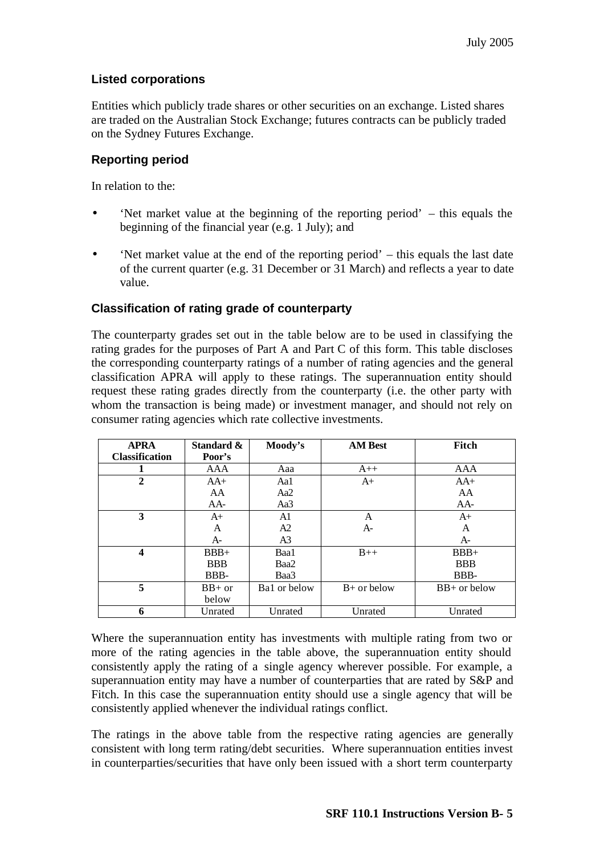## **Listed corporations**

Entities which publicly trade shares or other securities on an exchange. Listed shares are traded on the Australian Stock Exchange; futures contracts can be publicly traded on the Sydney Futures Exchange.

## **Reporting period**

In relation to the:

- 'Net market value at the beginning of the reporting period' this equals the beginning of the financial year (e.g. 1 July); and
- 'Net market value at the end of the reporting period' this equals the last date of the current quarter (e.g. 31 December or 31 March) and reflects a year to date value.

## **Classification of rating grade of counterparty**

The counterparty grades set out in the table below are to be used in classifying the rating grades for the purposes of Part A and Part C of this form. This table discloses the corresponding counterparty ratings of a number of rating agencies and the general classification APRA will apply to these ratings. The superannuation entity should request these rating grades directly from the counterparty (i.e. the other party with whom the transaction is being made) or investment manager, and should not rely on consumer rating agencies which rate collective investments.

| <b>APRA</b>           | Standard & | Moody's        | <b>AM Best</b> | Fitch          |
|-----------------------|------------|----------------|----------------|----------------|
| <b>Classification</b> | Poor's     |                |                |                |
|                       | AAA        | Aaa            | $A++$          | AAA            |
| $\overline{2}$        | $AA+$      | Aal            | $A+$           | $AA+$          |
|                       | AA         | Aa2            |                | AA             |
|                       | $AA-$      | Aa3            |                | $AA-$          |
| 3                     | $A+$       | A1             | A              | $A+$           |
|                       | A          | A2             | $A-$           | A              |
|                       | $A-$       | A <sub>3</sub> |                | $A-$           |
| 4                     | $BBB+$     | Baa1           | $B++$          | $BBB+$         |
|                       | <b>BBB</b> | Baa2           |                | <b>BBB</b>     |
|                       | BBB-       | Baa3           |                | BBB-           |
| 5                     | $BB+$ or   | Ba1 or below   | $B+$ or below  | $BB+$ or below |
|                       | below      |                |                |                |
| 6                     | Unrated    | Unrated        | Unrated        | Unrated        |

Where the superannuation entity has investments with multiple rating from two or more of the rating agencies in the table above, the superannuation entity should consistently apply the rating of a single agency wherever possible. For example, a superannuation entity may have a number of counterparties that are rated by S&P and Fitch. In this case the superannuation entity should use a single agency that will be consistently applied whenever the individual ratings conflict.

The ratings in the above table from the respective rating agencies are generally consistent with long term rating/debt securities. Where superannuation entities invest in counterparties/securities that have only been issued with a short term counterparty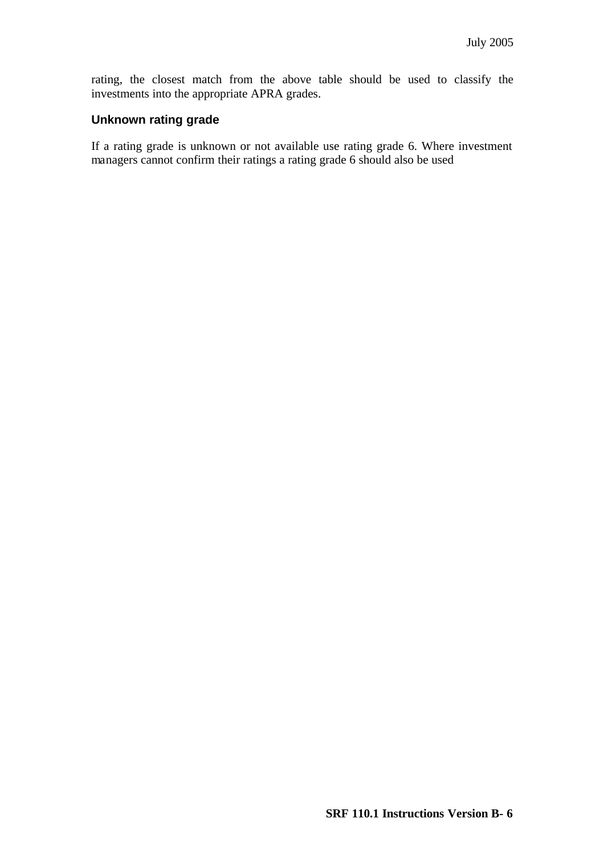rating, the closest match from the above table should be used to classify the investments into the appropriate APRA grades.

#### **Unknown rating grade**

If a rating grade is unknown or not available use rating grade 6. Where investment managers cannot confirm their ratings a rating grade 6 should also be used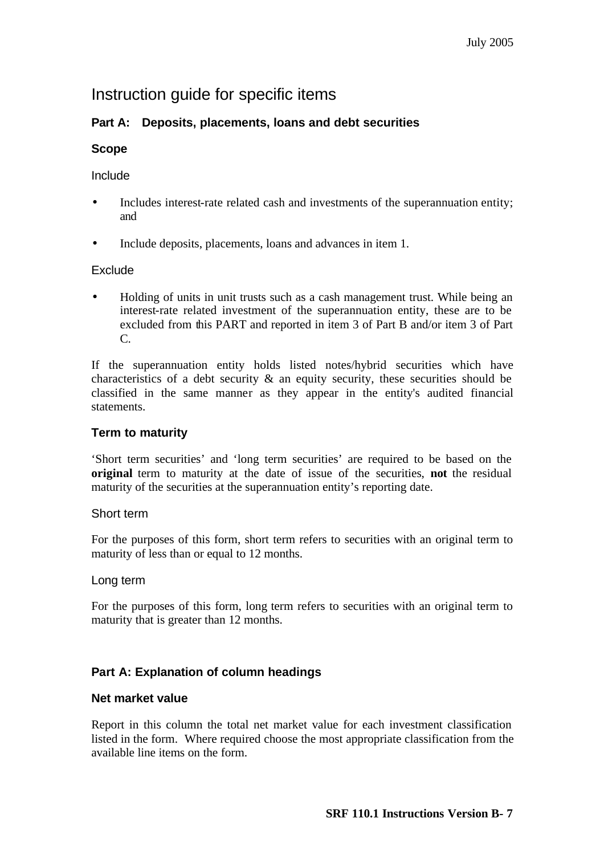## Instruction guide for specific items

## **Part A: Deposits, placements, loans and debt securities**

## **Scope**

## Include

- Includes interest-rate related cash and investments of the superannuation entity; and
- Include deposits, placements, loans and advances in item 1.

## **Exclude**

• Holding of units in unit trusts such as a cash management trust. While being an interest-rate related investment of the superannuation entity, these are to be excluded from this PART and reported in item 3 of Part B and/or item 3 of Part C.

If the superannuation entity holds listed notes/hybrid securities which have characteristics of a debt security  $\&$  an equity security, these securities should be classified in the same manner as they appear in the entity's audited financial statements.

## **Term to maturity**

'Short term securities' and 'long term securities' are required to be based on the **original** term to maturity at the date of issue of the securities, **not** the residual maturity of the securities at the superannuation entity's reporting date.

## Short term

For the purposes of this form, short term refers to securities with an original term to maturity of less than or equal to 12 months.

## Long term

For the purposes of this form, long term refers to securities with an original term to maturity that is greater than 12 months.

## **Part A: Explanation of column headings**

## **Net market value**

Report in this column the total net market value for each investment classification listed in the form. Where required choose the most appropriate classification from the available line items on the form.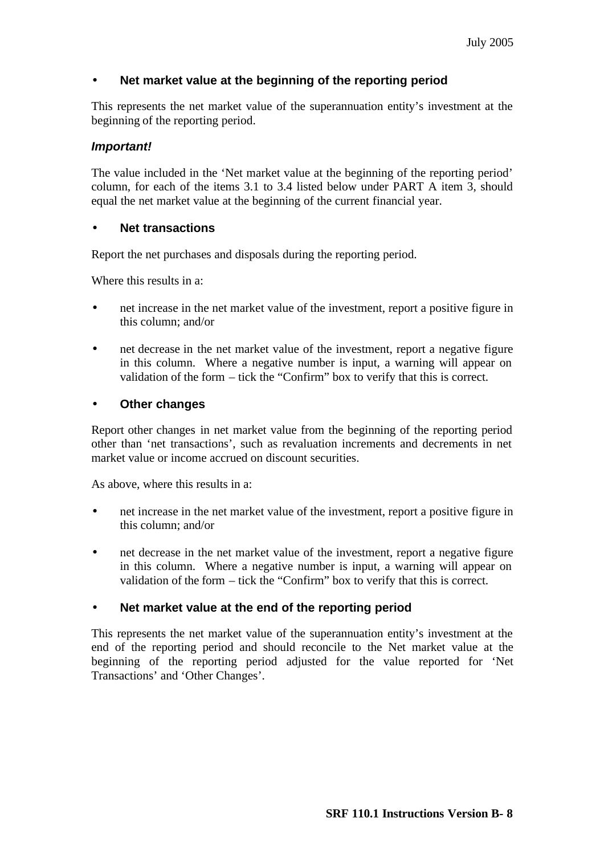## • **Net market value at the beginning of the reporting period**

This represents the net market value of the superannuation entity's investment at the beginning of the reporting period.

#### *Important!*

The value included in the 'Net market value at the beginning of the reporting period' column, for each of the items 3.1 to 3.4 listed below under PART A item 3, should equal the net market value at the beginning of the current financial year.

#### • **Net transactions**

Report the net purchases and disposals during the reporting period.

Where this results in a:

- net increase in the net market value of the investment, report a positive figure in this column; and/or
- net decrease in the net market value of the investment, report a negative figure in this column. Where a negative number is input, a warning will appear on validation of the form – tick the "Confirm" box to verify that this is correct.

## • **Other changes**

Report other changes in net market value from the beginning of the reporting period other than 'net transactions', such as revaluation increments and decrements in net market value or income accrued on discount securities.

As above, where this results in a:

- net increase in the net market value of the investment, report a positive figure in this column; and/or
- net decrease in the net market value of the investment, report a negative figure in this column. Where a negative number is input, a warning will appear on validation of the form – tick the "Confirm" box to verify that this is correct.

## • **Net market value at the end of the reporting period**

This represents the net market value of the superannuation entity's investment at the end of the reporting period and should reconcile to the Net market value at the beginning of the reporting period adjusted for the value reported for 'Net Transactions' and 'Other Changes'.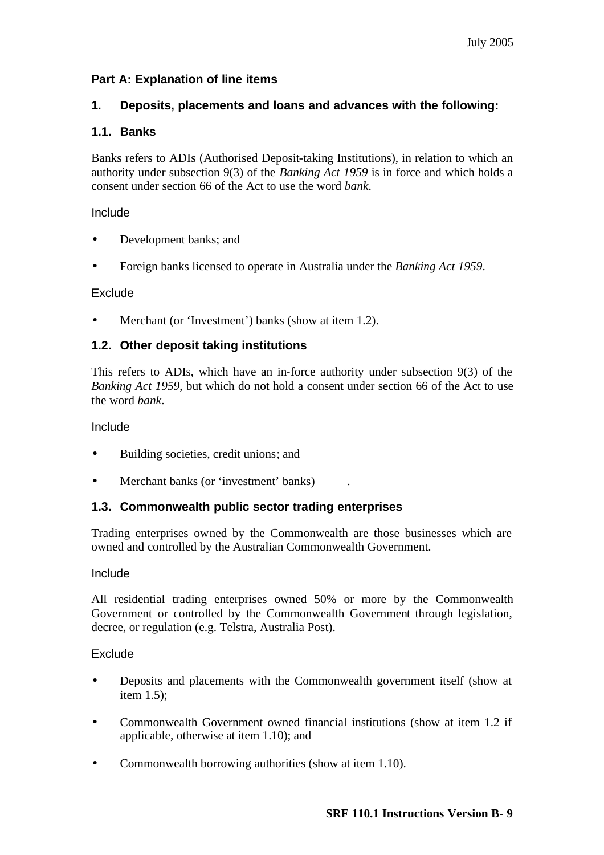## **Part A: Explanation of line items**

## **1. Deposits, placements and loans and advances with the following:**

## **1.1. Banks**

Banks refers to ADIs (Authorised Deposit-taking Institutions), in relation to which an authority under subsection 9(3) of the *Banking Act 1959* is in force and which holds a consent under section 66 of the Act to use the word *bank*.

Include

- Development banks; and
- Foreign banks licensed to operate in Australia under the *Banking Act 1959*.

#### **Exclude**

Merchant (or 'Investment') banks (show at item 1.2).

## **1.2. Other deposit taking institutions**

This refers to ADIs, which have an in-force authority under subsection 9(3) of the *Banking Act 1959*, but which do not hold a consent under section 66 of the Act to use the word *bank*.

Include

- Building societies, credit unions; and
- Merchant banks (or 'investment' banks).

## **1.3. Commonwealth public sector trading enterprises**

Trading enterprises owned by the Commonwealth are those businesses which are owned and controlled by the Australian Commonwealth Government.

#### Include

All residential trading enterprises owned 50% or more by the Commonwealth Government or controlled by the Commonwealth Government through legislation, decree, or regulation (e.g. Telstra, Australia Post).

## **Exclude**

- Deposits and placements with the Commonwealth government itself (show at item 1.5);
- Commonwealth Government owned financial institutions (show at item 1.2 if applicable, otherwise at item 1.10); and
- Commonwealth borrowing authorities (show at item 1.10).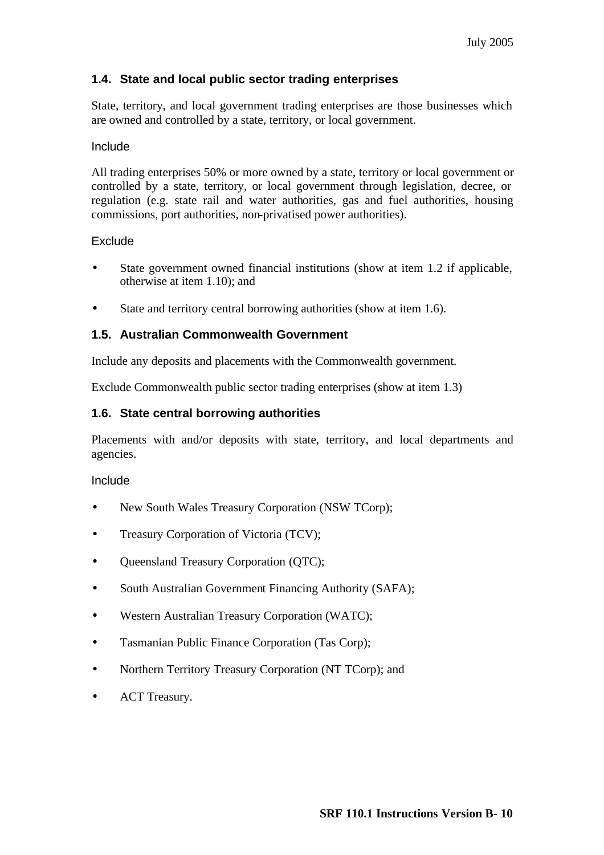## **1.4. State and local public sector trading enterprises**

State, territory, and local government trading enterprises are those businesses which are owned and controlled by a state, territory, or local government.

#### Include

All trading enterprises 50% or more owned by a state, territory or local government or controlled by a state, territory, or local government through legislation, decree, or regulation (e.g. state rail and water authorities, gas and fuel authorities, housing commissions, port authorities, non-privatised power authorities).

#### Exclude

- State government owned financial institutions (show at item 1.2 if applicable, otherwise at item 1.10); and
- State and territory central borrowing authorities (show at item 1.6).

## **1.5. Australian Commonwealth Government**

Include any deposits and placements with the Commonwealth government.

Exclude Commonwealth public sector trading enterprises (show at item 1.3)

## **1.6. State central borrowing authorities**

Placements with and/or deposits with state, territory, and local departments and agencies.

#### Include

- New South Wales Treasury Corporation (NSW TCorp);
- Treasury Corporation of Victoria (TCV);
- Queensland Treasury Corporation (QTC);
- South Australian Government Financing Authority (SAFA);
- Western Australian Treasury Corporation (WATC);
- Tasmanian Public Finance Corporation (Tas Corp);
- Northern Territory Treasury Corporation (NT TCorp); and
- ACT Treasury.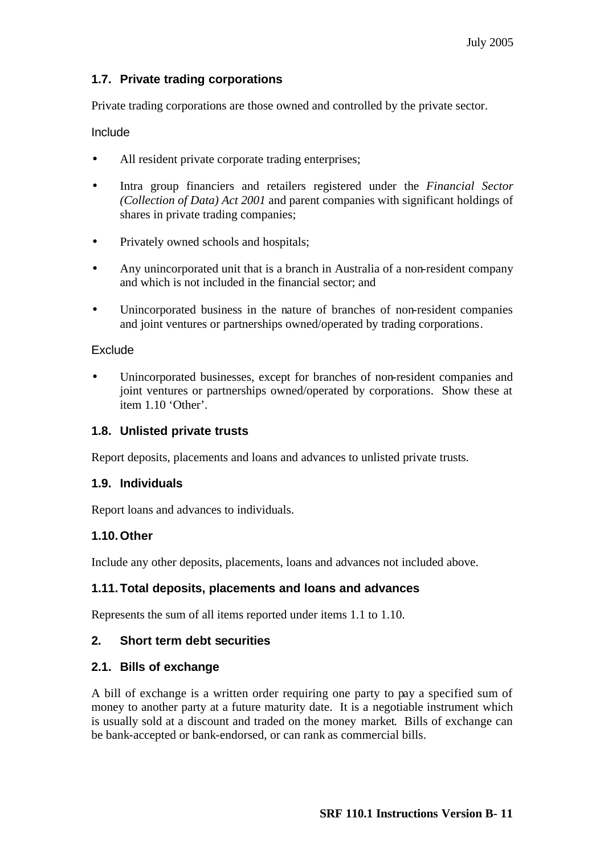## **1.7. Private trading corporations**

Private trading corporations are those owned and controlled by the private sector.

Include

- All resident private corporate trading enterprises;
- Intra group financiers and retailers registered under the *Financial Sector (Collection of Data) Act 2001* and parent companies with significant holdings of shares in private trading companies;
- Privately owned schools and hospitals;
- Any unincorporated unit that is a branch in Australia of a non-resident company and which is not included in the financial sector; and
- Unincorporated business in the nature of branches of non-resident companies and joint ventures or partnerships owned/operated by trading corporations.

#### **Exclude**

Unincorporated businesses, except for branches of non-resident companies and joint ventures or partnerships owned/operated by corporations. Show these at item 1.10 'Other'.

## **1.8. Unlisted private trusts**

Report deposits, placements and loans and advances to unlisted private trusts.

#### **1.9. Individuals**

Report loans and advances to individuals.

#### **1.10.Other**

Include any other deposits, placements, loans and advances not included above.

#### **1.11.Total deposits, placements and loans and advances**

Represents the sum of all items reported under items 1.1 to 1.10.

#### **2. Short term debt securities**

#### **2.1. Bills of exchange**

A bill of exchange is a written order requiring one party to pay a specified sum of money to another party at a future maturity date. It is a negotiable instrument which is usually sold at a discount and traded on the money market. Bills of exchange can be bank-accepted or bank-endorsed, or can rank as commercial bills.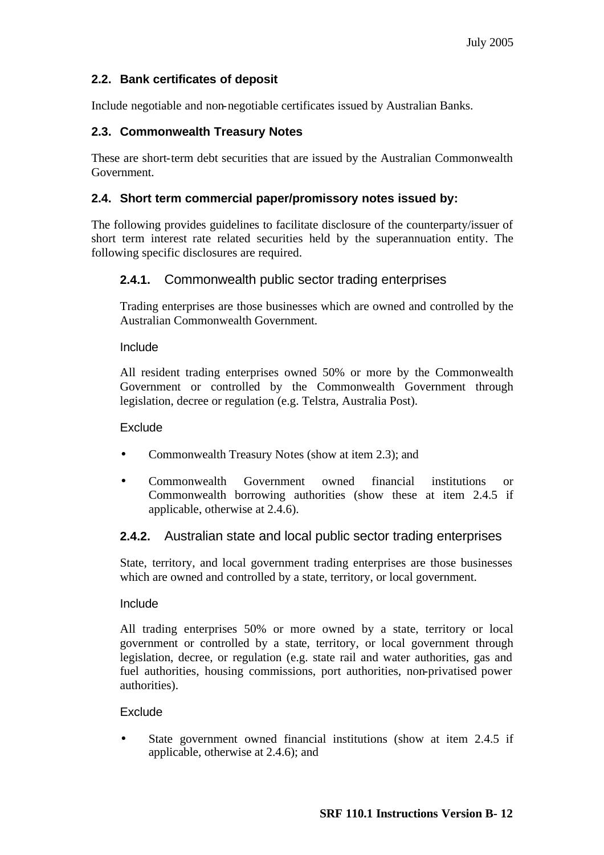## **2.2. Bank certificates of deposit**

Include negotiable and non-negotiable certificates issued by Australian Banks.

## **2.3. Commonwealth Treasury Notes**

These are short-term debt securities that are issued by the Australian Commonwealth Government.

## **2.4. Short term commercial paper/promissory notes issued by:**

The following provides guidelines to facilitate disclosure of the counterparty/issuer of short term interest rate related securities held by the superannuation entity. The following specific disclosures are required.

## **2.4.1.** Commonwealth public sector trading enterprises

Trading enterprises are those businesses which are owned and controlled by the Australian Commonwealth Government.

#### Include

All resident trading enterprises owned 50% or more by the Commonwealth Government or controlled by the Commonwealth Government through legislation, decree or regulation (e.g. Telstra, Australia Post).

#### Exclude

- Commonwealth Treasury Notes (show at item 2.3); and
- Commonwealth Government owned financial institutions or Commonwealth borrowing authorities (show these at item 2.4.5 if applicable, otherwise at 2.4.6).

## **2.4.2.** Australian state and local public sector trading enterprises

State, territory, and local government trading enterprises are those businesses which are owned and controlled by a state, territory, or local government.

#### Include

All trading enterprises 50% or more owned by a state, territory or local government or controlled by a state, territory, or local government through legislation, decree, or regulation (e.g. state rail and water authorities, gas and fuel authorities, housing commissions, port authorities, non-privatised power authorities).

## Exclude

State government owned financial institutions (show at item 2.4.5 if applicable, otherwise at 2.4.6); and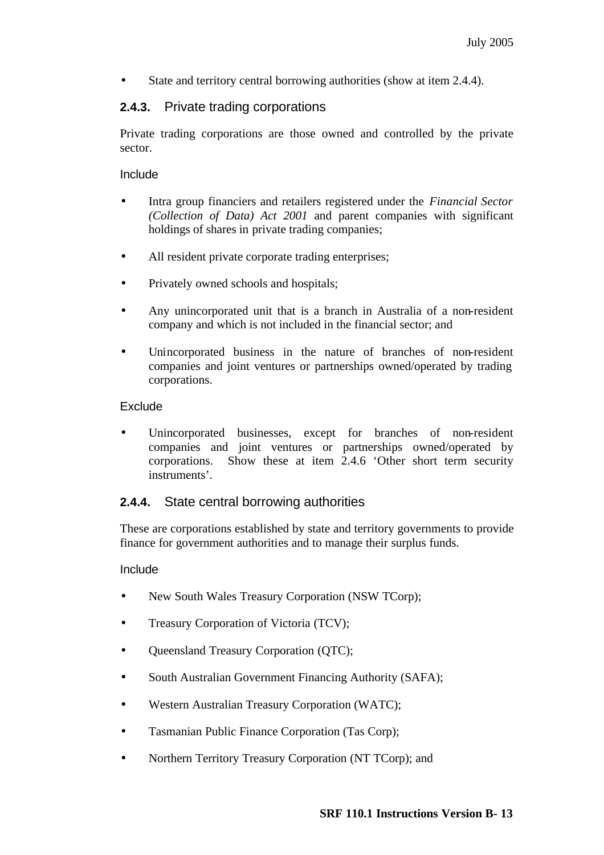State and territory central borrowing authorities (show at item 2.4.4).

## **2.4.3.** Private trading corporations

Private trading corporations are those owned and controlled by the private sector.

#### Include

- Intra group financiers and retailers registered under the *Financial Sector (Collection of Data) Act 2001* and parent companies with significant holdings of shares in private trading companies;
- All resident private corporate trading enterprises;
- Privately owned schools and hospitals;
- Any unincorporated unit that is a branch in Australia of a non-resident company and which is not included in the financial sector; and
- Unincorporated business in the nature of branches of non-resident companies and joint ventures or partnerships owned/operated by trading corporations.

#### **Exclude**

Unincorporated businesses, except for branches of non-resident companies and joint ventures or partnerships owned/operated by corporations. Show these at item 2.4.6 'Other short term security instruments'.

## **2.4.4.** State central borrowing authorities

These are corporations established by state and territory governments to provide finance for government authorities and to manage their surplus funds.

#### Include

- New South Wales Treasury Corporation (NSW TCorp);
- Treasury Corporation of Victoria (TCV);
- Queensland Treasury Corporation (QTC);
- South Australian Government Financing Authority (SAFA);
- Western Australian Treasury Corporation (WATC);
- Tasmanian Public Finance Corporation (Tas Corp);
- Northern Territory Treasury Corporation (NT TCorp); and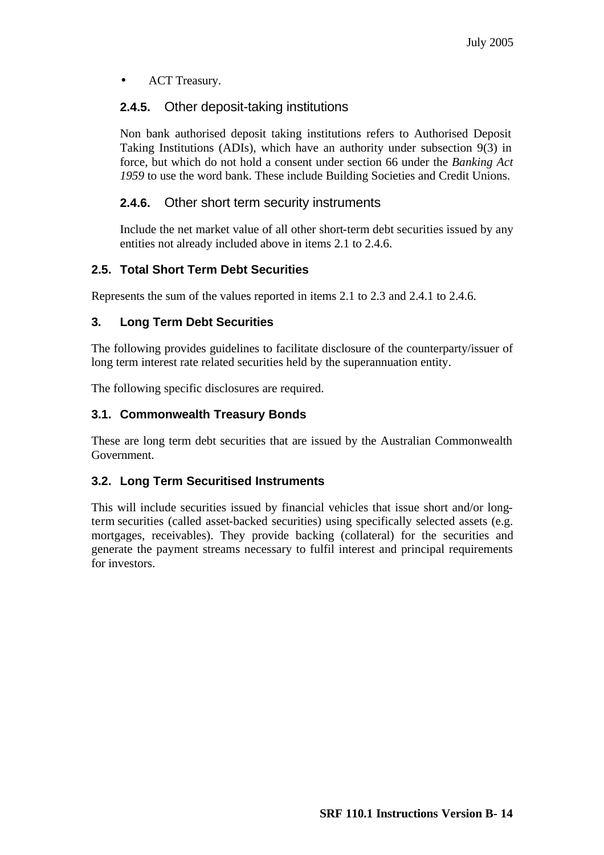• ACT Treasury.

## **2.4.5.** Other deposit-taking institutions

Non bank authorised deposit taking institutions refers to Authorised Deposit Taking Institutions (ADIs), which have an authority under subsection 9(3) in force, but which do not hold a consent under section 66 under the *Banking Act 1959* to use the word bank. These include Building Societies and Credit Unions.

## **2.4.6.** Other short term security instruments

Include the net market value of all other short-term debt securities issued by any entities not already included above in items 2.1 to 2.4.6.

## **2.5. Total Short Term Debt Securities**

Represents the sum of the values reported in items 2.1 to 2.3 and 2.4.1 to 2.4.6.

## **3. Long Term Debt Securities**

The following provides guidelines to facilitate disclosure of the counterparty/issuer of long term interest rate related securities held by the superannuation entity.

The following specific disclosures are required.

## **3.1. Commonwealth Treasury Bonds**

These are long term debt securities that are issued by the Australian Commonwealth Government.

## **3.2. Long Term Securitised Instruments**

This will include securities issued by financial vehicles that issue short and/or longterm securities (called asset-backed securities) using specifically selected assets (e.g. mortgages, receivables). They provide backing (collateral) for the securities and generate the payment streams necessary to fulfil interest and principal requirements for investors.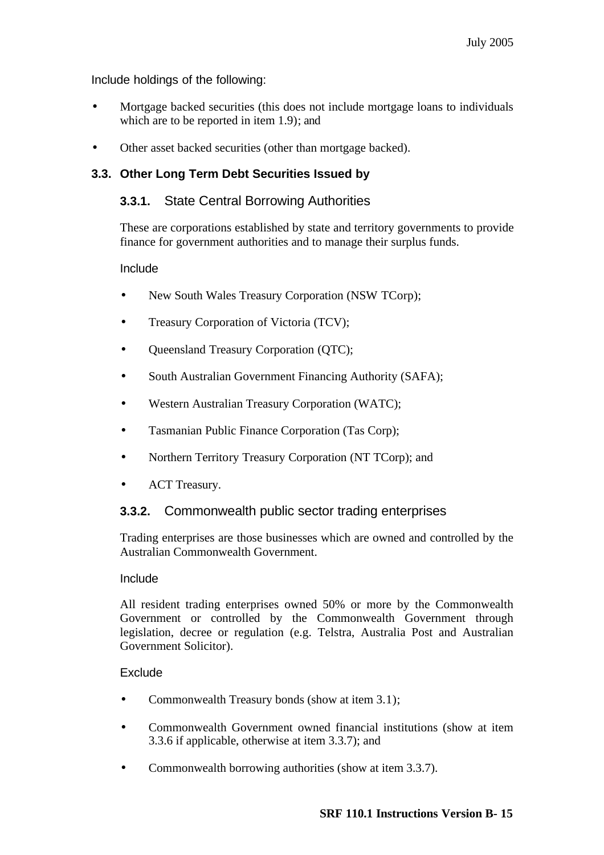Include holdings of the following:

- Mortgage backed securities (this does not include mortgage loans to individuals which are to be reported in item 1.9); and
- Other asset backed securities (other than mortgage backed).

## **3.3. Other Long Term Debt Securities Issued by**

## **3.3.1.** State Central Borrowing Authorities

These are corporations established by state and territory governments to provide finance for government authorities and to manage their surplus funds.

#### Include

- New South Wales Treasury Corporation (NSW TCorp);
- Treasury Corporation of Victoria (TCV);
- **Queensland Treasury Corporation (QTC);**
- South Australian Government Financing Authority (SAFA);
- Western Australian Treasury Corporation (WATC);
- Tasmanian Public Finance Corporation (Tas Corp);
- Northern Territory Treasury Corporation (NT TCorp); and
- ACT Treasury.

## **3.3.2.** Commonwealth public sector trading enterprises

Trading enterprises are those businesses which are owned and controlled by the Australian Commonwealth Government.

#### Include

All resident trading enterprises owned 50% or more by the Commonwealth Government or controlled by the Commonwealth Government through legislation, decree or regulation (e.g. Telstra, Australia Post and Australian Government Solicitor).

## Exclude

- Commonwealth Treasury bonds (show at item 3.1);
- Commonwealth Government owned financial institutions (show at item 3.3.6 if applicable, otherwise at item 3.3.7); and
- Commonwealth borrowing authorities (show at item 3.3.7).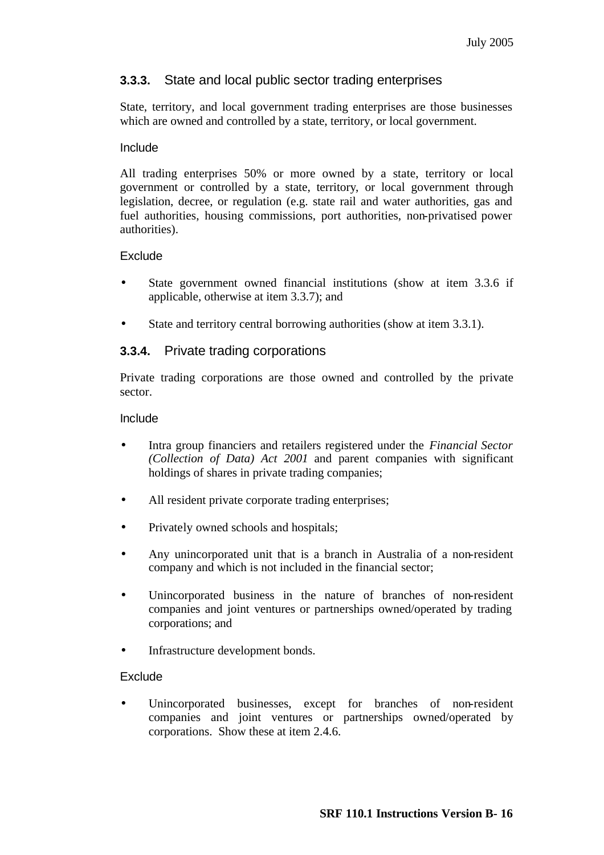## **3.3.3.** State and local public sector trading enterprises

State, territory, and local government trading enterprises are those businesses which are owned and controlled by a state, territory, or local government.

#### Include

All trading enterprises 50% or more owned by a state, territory or local government or controlled by a state, territory, or local government through legislation, decree, or regulation (e.g. state rail and water authorities, gas and fuel authorities, housing commissions, port authorities, non-privatised power authorities).

## **Exclude**

- State government owned financial institutions (show at item 3.3.6 if applicable, otherwise at item 3.3.7); and
- State and territory central borrowing authorities (show at item 3.3.1).

## **3.3.4.** Private trading corporations

Private trading corporations are those owned and controlled by the private sector.

#### Include

- Intra group financiers and retailers registered under the *Financial Sector (Collection of Data) Act 2001* and parent companies with significant holdings of shares in private trading companies;
- All resident private corporate trading enterprises;
- Privately owned schools and hospitals;
- Any unincorporated unit that is a branch in Australia of a non-resident company and which is not included in the financial sector;
- Unincorporated business in the nature of branches of non-resident companies and joint ventures or partnerships owned/operated by trading corporations; and
- Infrastructure development bonds.

#### **Exclude**

Unincorporated businesses, except for branches of non-resident companies and joint ventures or partnerships owned/operated by corporations. Show these at item 2.4.6.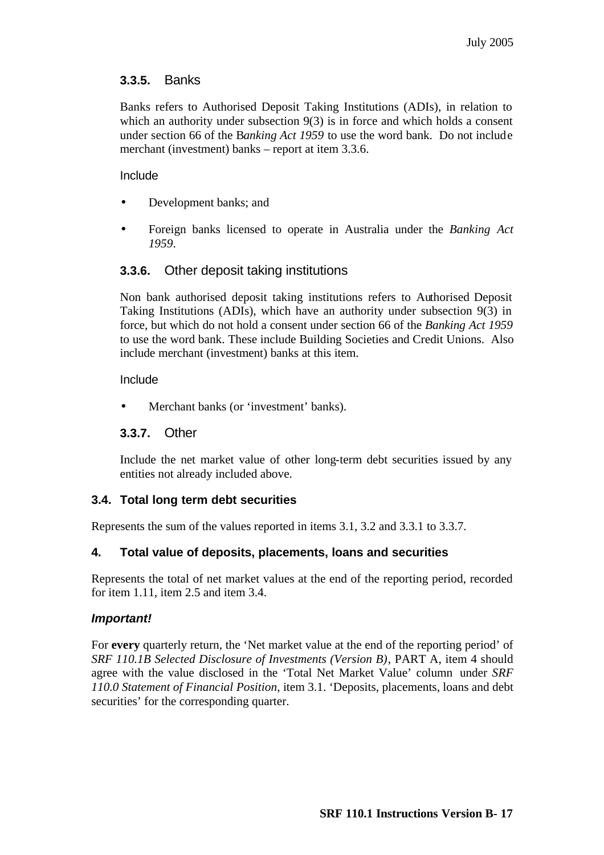## **3.3.5.** Banks

Banks refers to Authorised Deposit Taking Institutions (ADIs), in relation to which an authority under subsection 9(3) is in force and which holds a consent under section 66 of the B*anking Act 1959* to use the word bank. Do not include merchant (investment) banks – report at item 3.3.6.

#### Include

- Development banks; and
- Foreign banks licensed to operate in Australia under the *Banking Act 1959*.

## **3.3.6.** Other deposit taking institutions

Non bank authorised deposit taking institutions refers to Authorised Deposit Taking Institutions (ADIs), which have an authority under subsection 9(3) in force, but which do not hold a consent under section 66 of the *Banking Act 1959* to use the word bank. These include Building Societies and Credit Unions. Also include merchant (investment) banks at this item.

#### Include

Merchant banks (or 'investment' banks).

## **3.3.7.** Other

Include the net market value of other long-term debt securities issued by any entities not already included above.

## **3.4. Total long term debt securities**

Represents the sum of the values reported in items 3.1, 3.2 and 3.3.1 to 3.3.7.

## **4. Total value of deposits, placements, loans and securities**

Represents the total of net market values at the end of the reporting period, recorded for item 1.11, item 2.5 and item 3.4.

#### *Important!*

For **every** quarterly return, the 'Net market value at the end of the reporting period' of *SRF 110.1B Selected Disclosure of Investments (Version B)*, PART A, item 4 should agree with the value disclosed in the 'Total Net Market Value' column under *SRF 110.0 Statement of Financial Position*, item 3.1. 'Deposits, placements, loans and debt securities' for the corresponding quarter.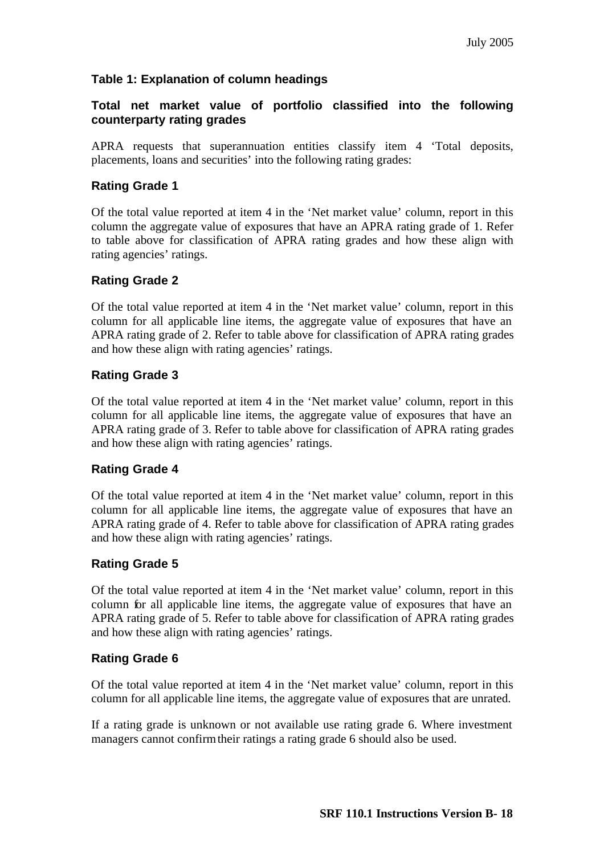## **Table 1: Explanation of column headings**

## **Total net market value of portfolio classified into the following counterparty rating grades**

APRA requests that superannuation entities classify item 4 'Total deposits, placements, loans and securities' into the following rating grades:

#### **Rating Grade 1**

Of the total value reported at item 4 in the 'Net market value' column, report in this column the aggregate value of exposures that have an APRA rating grade of 1. Refer to table above for classification of APRA rating grades and how these align with rating agencies' ratings.

## **Rating Grade 2**

Of the total value reported at item 4 in the 'Net market value' column, report in this column for all applicable line items, the aggregate value of exposures that have an APRA rating grade of 2. Refer to table above for classification of APRA rating grades and how these align with rating agencies' ratings.

## **Rating Grade 3**

Of the total value reported at item 4 in the 'Net market value' column, report in this column for all applicable line items, the aggregate value of exposures that have an APRA rating grade of 3. Refer to table above for classification of APRA rating grades and how these align with rating agencies' ratings.

#### **Rating Grade 4**

Of the total value reported at item 4 in the 'Net market value' column, report in this column for all applicable line items, the aggregate value of exposures that have an APRA rating grade of 4. Refer to table above for classification of APRA rating grades and how these align with rating agencies' ratings.

#### **Rating Grade 5**

Of the total value reported at item 4 in the 'Net market value' column, report in this column for all applicable line items, the aggregate value of exposures that have an APRA rating grade of 5. Refer to table above for classification of APRA rating grades and how these align with rating agencies' ratings.

## **Rating Grade 6**

Of the total value reported at item 4 in the 'Net market value' column, report in this column for all applicable line items, the aggregate value of exposures that are unrated.

If a rating grade is unknown or not available use rating grade 6. Where investment managers cannot confirm their ratings a rating grade 6 should also be used.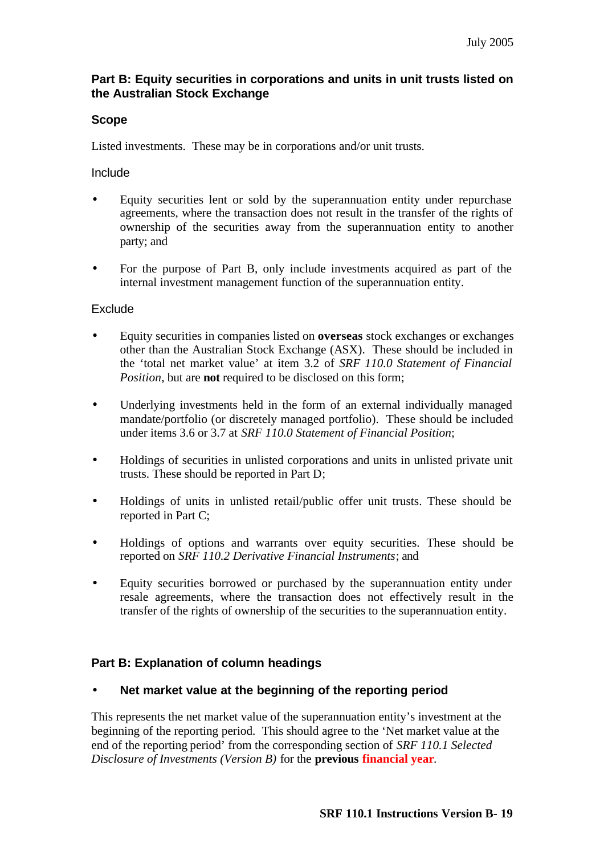## **Part B: Equity securities in corporations and units in unit trusts listed on the Australian Stock Exchange**

## **Scope**

Listed investments. These may be in corporations and/or unit trusts.

Include

- Equity securities lent or sold by the superannuation entity under repurchase agreements, where the transaction does not result in the transfer of the rights of ownership of the securities away from the superannuation entity to another party; and
- For the purpose of Part B, only include investments acquired as part of the internal investment management function of the superannuation entity.

## **Exclude**

- Equity securities in companies listed on **overseas** stock exchanges or exchanges other than the Australian Stock Exchange (ASX). These should be included in the 'total net market value' at item 3.2 of *SRF 110.0 Statement of Financial Position*, but are **not** required to be disclosed on this form;
- Underlying investments held in the form of an external individually managed mandate/portfolio (or discretely managed portfolio). These should be included under items 3.6 or 3.7 at *SRF 110.0 Statement of Financial Position*;
- Holdings of securities in unlisted corporations and units in unlisted private unit trusts. These should be reported in Part D;
- Holdings of units in unlisted retail/public offer unit trusts. These should be reported in Part C;
- Holdings of options and warrants over equity securities. These should be reported on *SRF 110.2 Derivative Financial Instruments*; and
- Equity securities borrowed or purchased by the superannuation entity under resale agreements, where the transaction does not effectively result in the transfer of the rights of ownership of the securities to the superannuation entity.

## **Part B: Explanation of column headings**

## • **Net market value at the beginning of the reporting period**

This represents the net market value of the superannuation entity's investment at the beginning of the reporting period. This should agree to the 'Net market value at the end of the reporting period' from the corresponding section of *SRF 110.1 Selected Disclosure of Investments (Version B)* for the **previous financial year**.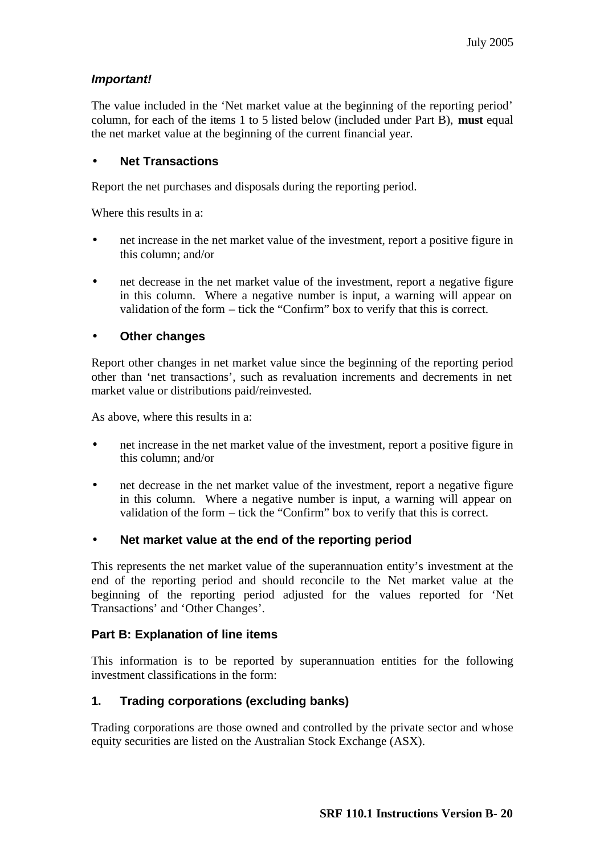## *Important!*

The value included in the 'Net market value at the beginning of the reporting period' column, for each of the items 1 to 5 listed below (included under Part B), **must** equal the net market value at the beginning of the current financial year.

## • **Net Transactions**

Report the net purchases and disposals during the reporting period.

Where this results in a:

- net increase in the net market value of the investment, report a positive figure in this column; and/or
- net decrease in the net market value of the investment, report a negative figure in this column. Where a negative number is input, a warning will appear on validation of the form – tick the "Confirm" box to verify that this is correct.

## • **Other changes**

Report other changes in net market value since the beginning of the reporting period other than 'net transactions', such as revaluation increments and decrements in net market value or distributions paid/reinvested.

As above, where this results in a:

- net increase in the net market value of the investment, report a positive figure in this column; and/or
- net decrease in the net market value of the investment, report a negative figure in this column. Where a negative number is input, a warning will appear on validation of the form – tick the "Confirm" box to verify that this is correct.

#### • **Net market value at the end of the reporting period**

This represents the net market value of the superannuation entity's investment at the end of the reporting period and should reconcile to the Net market value at the beginning of the reporting period adjusted for the values reported for 'Net Transactions' and 'Other Changes'.

## **Part B: Explanation of line items**

This information is to be reported by superannuation entities for the following investment classifications in the form:

## **1. Trading corporations (excluding banks)**

Trading corporations are those owned and controlled by the private sector and whose equity securities are listed on the Australian Stock Exchange (ASX).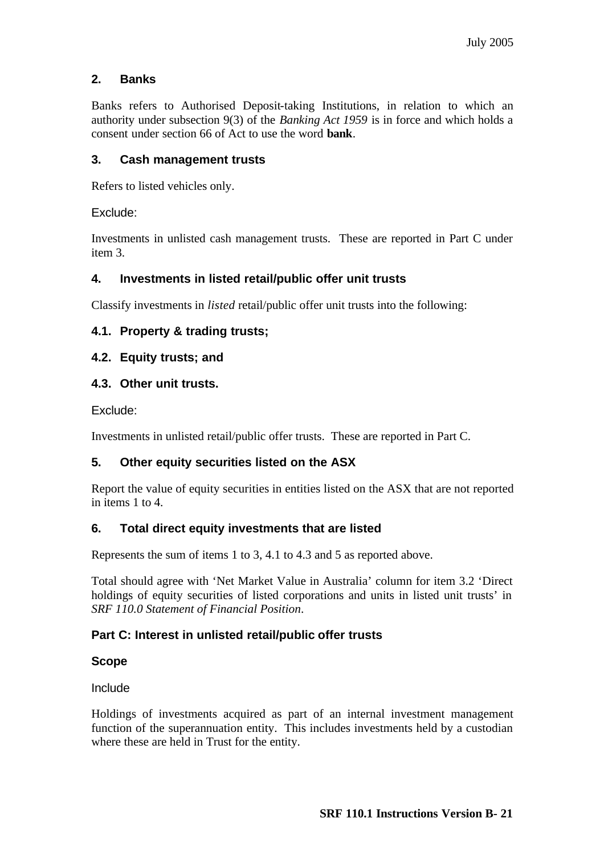## **2. Banks**

Banks refers to Authorised Deposit-taking Institutions, in relation to which an authority under subsection 9(3) of the *Banking Act 1959* is in force and which holds a consent under section 66 of Act to use the word **bank**.

## **3. Cash management trusts**

Refers to listed vehicles only.

Exclude:

Investments in unlisted cash management trusts. These are reported in Part C under item 3.

## **4. Investments in listed retail/public offer unit trusts**

Classify investments in *listed* retail/public offer unit trusts into the following:

## **4.1. Property & trading trusts;**

#### **4.2. Equity trusts; and**

#### **4.3. Other unit trusts.**

Exclude:

Investments in unlisted retail/public offer trusts. These are reported in Part C.

## **5. Other equity securities listed on the ASX**

Report the value of equity securities in entities listed on the ASX that are not reported in items 1 to 4.

## **6. Total direct equity investments that are listed**

Represents the sum of items 1 to 3, 4.1 to 4.3 and 5 as reported above.

Total should agree with 'Net Market Value in Australia' column for item 3.2 'Direct holdings of equity securities of listed corporations and units in listed unit trusts' in *SRF 110.0 Statement of Financial Position*.

## **Part C: Interest in unlisted retail/public offer trusts**

## **Scope**

Include

Holdings of investments acquired as part of an internal investment management function of the superannuation entity. This includes investments held by a custodian where these are held in Trust for the entity.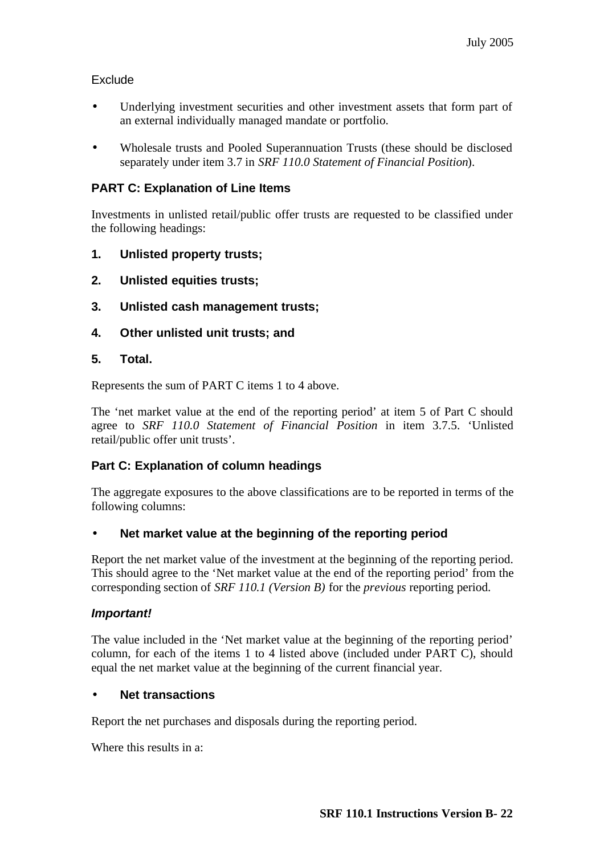## Exclude

- Underlying investment securities and other investment assets that form part of an external individually managed mandate or portfolio.
- Wholesale trusts and Pooled Superannuation Trusts (these should be disclosed separately under item 3.7 in *SRF 110.0 Statement of Financial Position*).

## **PART C: Explanation of Line Items**

Investments in unlisted retail/public offer trusts are requested to be classified under the following headings:

- **1. Unlisted property trusts;**
- **2. Unlisted equities trusts;**
- **3. Unlisted cash management trusts;**
- **4. Other unlisted unit trusts; and**

## **5. Total.**

Represents the sum of PART C items 1 to 4 above.

The 'net market value at the end of the reporting period' at item 5 of Part C should agree to *SRF 110.0 Statement of Financial Position* in item 3.7.5. 'Unlisted retail/public offer unit trusts'.

## **Part C: Explanation of column headings**

The aggregate exposures to the above classifications are to be reported in terms of the following columns:

## • **Net market value at the beginning of the reporting period**

Report the net market value of the investment at the beginning of the reporting period. This should agree to the 'Net market value at the end of the reporting period' from the corresponding section of *SRF 110.1 (Version B)* for the *previous* reporting period.

## *Important!*

The value included in the 'Net market value at the beginning of the reporting period' column, for each of the items 1 to 4 listed above (included under PART C), should equal the net market value at the beginning of the current financial year.

## • **Net transactions**

Report the net purchases and disposals during the reporting period.

Where this results in a: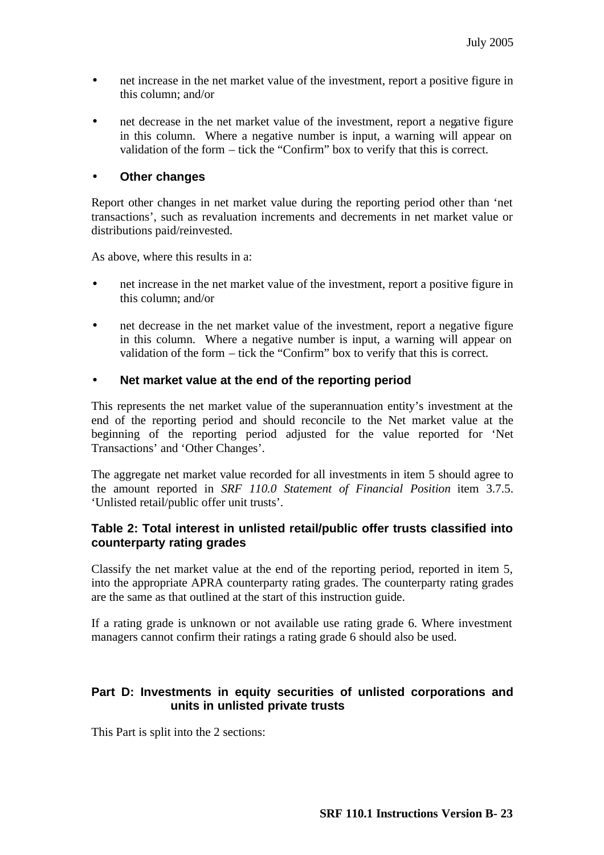- net increase in the net market value of the investment, report a positive figure in this column; and/or
- net decrease in the net market value of the investment, report a negative figure in this column. Where a negative number is input, a warning will appear on validation of the form – tick the "Confirm" box to verify that this is correct.

## • **Other changes**

Report other changes in net market value during the reporting period other than 'net transactions', such as revaluation increments and decrements in net market value or distributions paid/reinvested.

As above, where this results in a:

- net increase in the net market value of the investment, report a positive figure in this column; and/or
- net decrease in the net market value of the investment, report a negative figure in this column. Where a negative number is input, a warning will appear on validation of the form – tick the "Confirm" box to verify that this is correct.

## • **Net market value at the end of the reporting period**

This represents the net market value of the superannuation entity's investment at the end of the reporting period and should reconcile to the Net market value at the beginning of the reporting period adjusted for the value reported for 'Net Transactions' and 'Other Changes'.

The aggregate net market value recorded for all investments in item 5 should agree to the amount reported in *SRF 110.0 Statement of Financial Position* item 3.7.5. 'Unlisted retail/public offer unit trusts'.

## **Table 2: Total interest in unlisted retail/public offer trusts classified into counterparty rating grades**

Classify the net market value at the end of the reporting period, reported in item 5, into the appropriate APRA counterparty rating grades. The counterparty rating grades are the same as that outlined at the start of this instruction guide.

If a rating grade is unknown or not available use rating grade 6. Where investment managers cannot confirm their ratings a rating grade 6 should also be used.

## **Part D: Investments in equity securities of unlisted corporations and units in unlisted private trusts**

This Part is split into the 2 sections: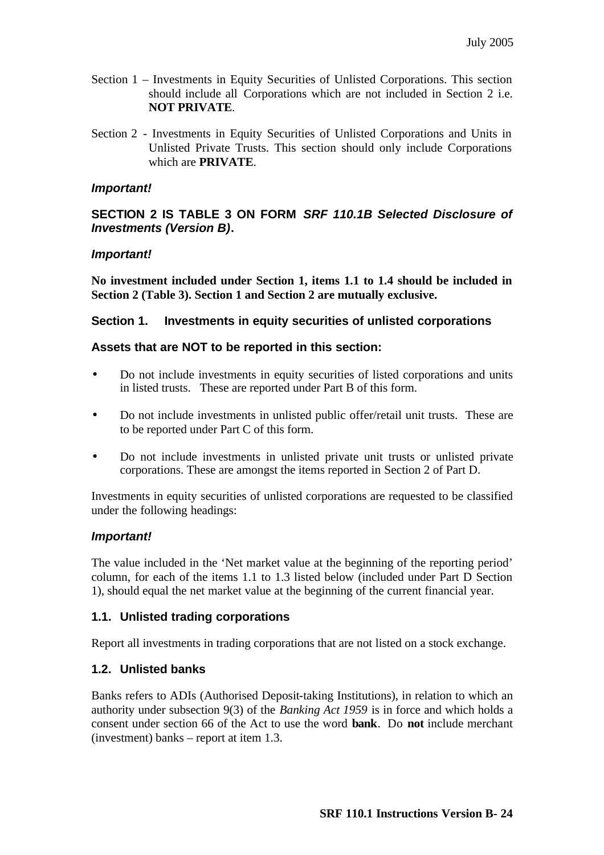- Section 1 Investments in Equity Securities of Unlisted Corporations. This section should include all Corporations which are not included in Section 2 i.e. **NOT PRIVATE**.
- Section 2 Investments in Equity Securities of Unlisted Corporations and Units in Unlisted Private Trusts. This section should only include Corporations which are **PRIVATE**.

#### *Important!*

## **SECTION 2 IS TABLE 3 ON FORM** *SRF 110.1B Selected Disclosure of Investments (Version B)***.**

#### *Important!*

**No investment included under Section 1, items 1.1 to 1.4 should be included in Section 2 (Table 3). Section 1 and Section 2 are mutually exclusive.**

#### **Section 1. Investments in equity securities of unlisted corporations**

#### **Assets that are NOT to be reported in this section:**

- Do not include investments in equity securities of listed corporations and units in listed trusts. These are reported under Part B of this form.
- Do not include investments in unlisted public offer/retail unit trusts. These are to be reported under Part C of this form.
- Do not include investments in unlisted private unit trusts or unlisted private corporations. These are amongst the items reported in Section 2 of Part D.

Investments in equity securities of unlisted corporations are requested to be classified under the following headings:

## *Important!*

The value included in the 'Net market value at the beginning of the reporting period' column, for each of the items 1.1 to 1.3 listed below (included under Part D Section 1), should equal the net market value at the beginning of the current financial year.

## **1.1. Unlisted trading corporations**

Report all investments in trading corporations that are not listed on a stock exchange.

## **1.2. Unlisted banks**

Banks refers to ADIs (Authorised Deposit-taking Institutions), in relation to which an authority under subsection 9(3) of the *Banking Act 1959* is in force and which holds a consent under section 66 of the Act to use the word **bank**. Do **not** include merchant (investment) banks – report at item 1.3.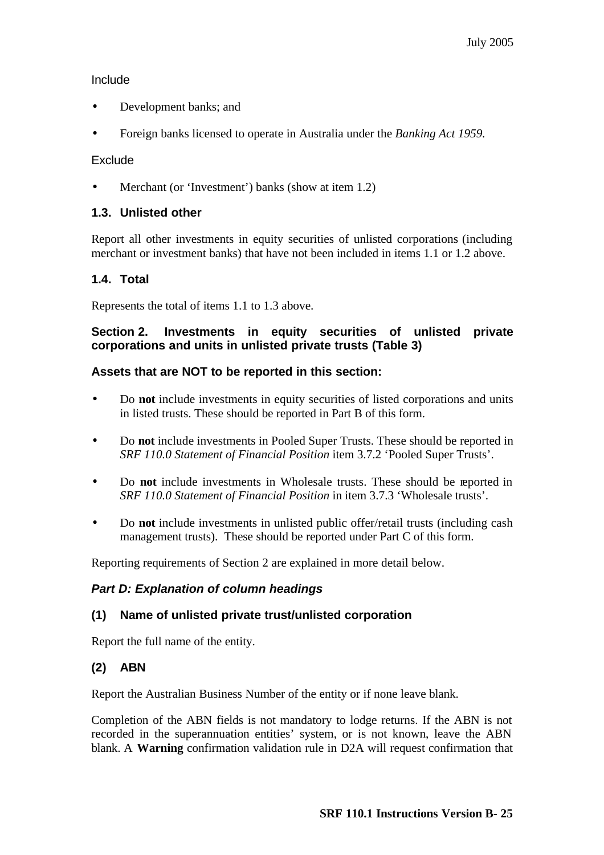## Include

- Development banks; and
- Foreign banks licensed to operate in Australia under the *Banking Act 1959.*

## Exclude

Merchant (or 'Investment') banks (show at item 1.2)

## **1.3. Unlisted other**

Report all other investments in equity securities of unlisted corporations (including merchant or investment banks) that have not been included in items 1.1 or 1.2 above.

## **1.4. Total**

Represents the total of items 1.1 to 1.3 above.

## **Section 2. Investments in equity securities of unlisted private corporations and units in unlisted private trusts (Table 3)**

## **Assets that are NOT to be reported in this section:**

- Do **not** include investments in equity securities of listed corporations and units in listed trusts. These should be reported in Part B of this form.
- Do **not** include investments in Pooled Super Trusts. These should be reported in *SRF 110.0 Statement of Financial Position* item 3.7.2 'Pooled Super Trusts'.
- Do **not** include investments in Wholesale trusts. These should be reported in *SRF 110.0 Statement of Financial Position* in item 3.7.3 'Wholesale trusts'.
- Do **not** include investments in unlisted public offer/retail trusts (including cash management trusts). These should be reported under Part C of this form.

Reporting requirements of Section 2 are explained in more detail below.

## *Part D: Explanation of column headings*

## **(1) Name of unlisted private trust/unlisted corporation**

Report the full name of the entity.

## **(2) ABN**

Report the Australian Business Number of the entity or if none leave blank.

Completion of the ABN fields is not mandatory to lodge returns. If the ABN is not recorded in the superannuation entities' system, or is not known, leave the ABN blank. A **Warning** confirmation validation rule in D2A will request confirmation that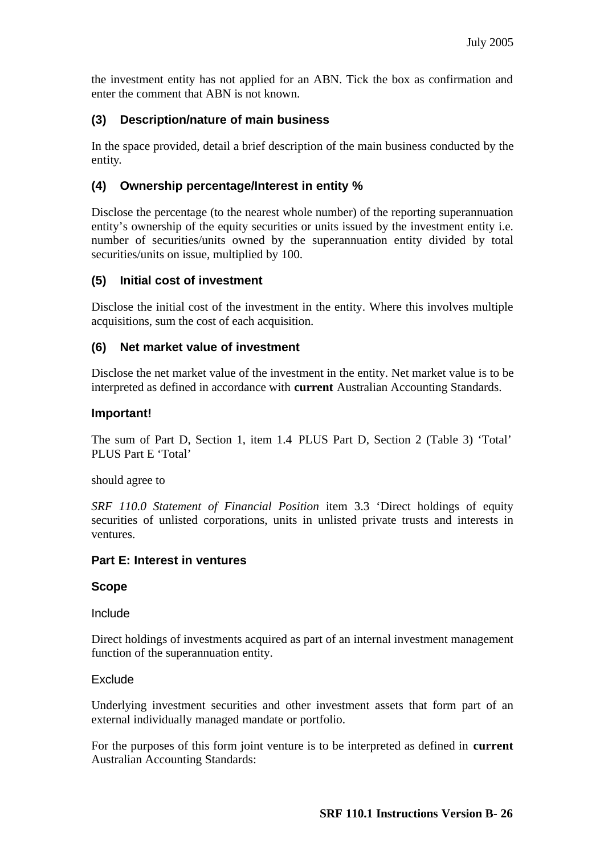the investment entity has not applied for an ABN. Tick the box as confirmation and enter the comment that ABN is not known.

## **(3) Description/nature of main business**

In the space provided, detail a brief description of the main business conducted by the entity.

## **(4) Ownership percentage/Interest in entity %**

Disclose the percentage (to the nearest whole number) of the reporting superannuation entity's ownership of the equity securities or units issued by the investment entity i.e. number of securities/units owned by the superannuation entity divided by total securities/units on issue, multiplied by 100.

## **(5) Initial cost of investment**

Disclose the initial cost of the investment in the entity. Where this involves multiple acquisitions, sum the cost of each acquisition.

## **(6) Net market value of investment**

Disclose the net market value of the investment in the entity. Net market value is to be interpreted as defined in accordance with **current** Australian Accounting Standards.

## **Important!**

The sum of Part D, Section 1, item 1.4 PLUS Part D, Section 2 (Table 3) 'Total' PLUS Part E 'Total'

should agree to

*SRF 110.0 Statement of Financial Position* item 3.3 'Direct holdings of equity securities of unlisted corporations, units in unlisted private trusts and interests in ventures.

## **Part E: Interest in ventures**

## **Scope**

Include

Direct holdings of investments acquired as part of an internal investment management function of the superannuation entity.

## **Exclude**

Underlying investment securities and other investment assets that form part of an external individually managed mandate or portfolio.

For the purposes of this form joint venture is to be interpreted as defined in **current**  Australian Accounting Standards: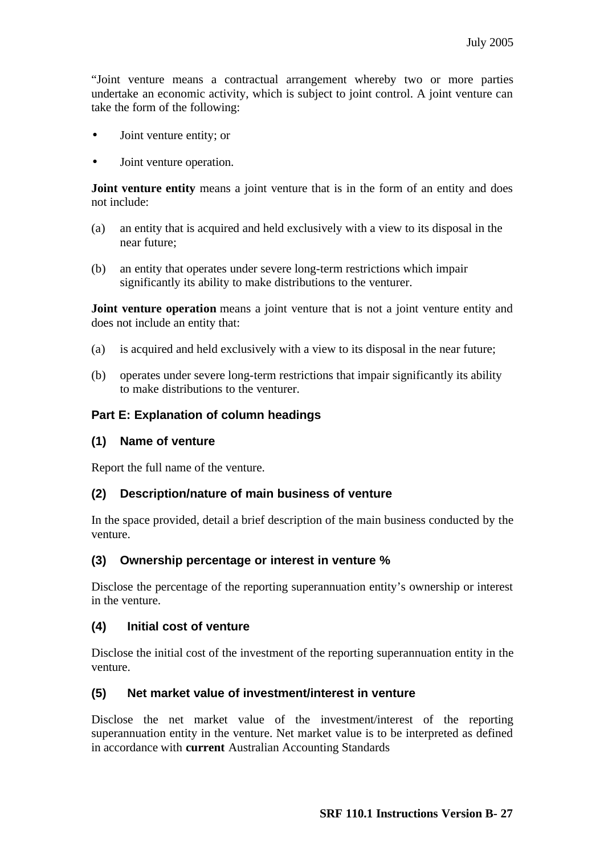"Joint venture means a contractual arrangement whereby two or more parties undertake an economic activity, which is subject to joint control. A joint venture can take the form of the following:

- Joint venture entity; or
- Joint venture operation.

**Joint venture entity** means a joint venture that is in the form of an entity and does not include:

- (a) an entity that is acquired and held exclusively with a view to its disposal in the near future;
- (b) an entity that operates under severe long-term restrictions which impair significantly its ability to make distributions to the venturer.

**Joint venture operation** means a joint venture that is not a joint venture entity and does not include an entity that:

- (a) is acquired and held exclusively with a view to its disposal in the near future;
- (b) operates under severe long-term restrictions that impair significantly its ability to make distributions to the venturer.

#### **Part E: Explanation of column headings**

#### **(1) Name of venture**

Report the full name of the venture.

#### **(2) Description/nature of main business of venture**

In the space provided, detail a brief description of the main business conducted by the venture.

#### **(3) Ownership percentage or interest in venture %**

Disclose the percentage of the reporting superannuation entity's ownership or interest in the venture.

#### **(4) Initial cost of venture**

Disclose the initial cost of the investment of the reporting superannuation entity in the venture.

#### **(5) Net market value of investment/interest in venture**

Disclose the net market value of the investment/interest of the reporting superannuation entity in the venture. Net market value is to be interpreted as defined in accordance with **current** Australian Accounting Standards